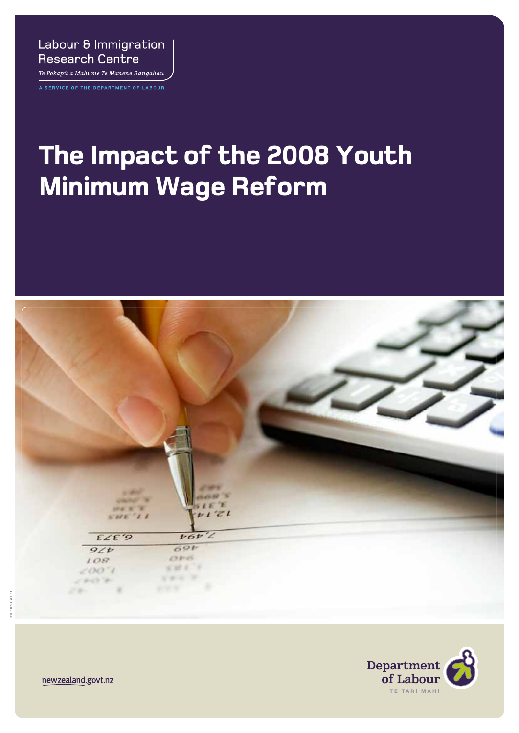### Labour & Immigration **Research Centre**

Te Pokapū a Mahi me Te Manene Rangahau A SERVICE OF THE DEPARTMENT OF LABOUR

# **The Impact of the 2008 Youth Minimum Wage Reform**





newzealand.govt.nz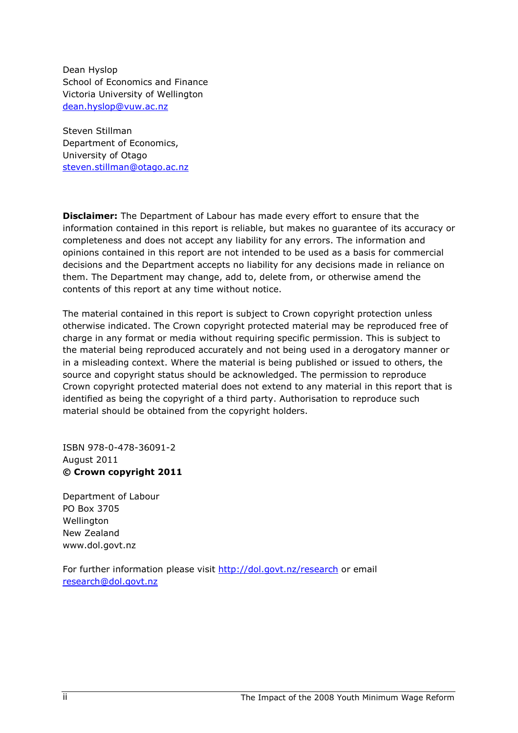Dean Hyslop School of Economics and Finance Victoria University of Wellington dean.hyslop@vuw.ac.nz

Steven Stillman Department of Economics, University of Otago steven.stillman@otago.ac.nz

**Disclaimer:** The Department of Labour has made every effort to ensure that the information contained in this report is reliable, but makes no guarantee of its accuracy or completeness and does not accept any liability for any errors. The information and opinions contained in this report are not intended to be used as a basis for commercial decisions and the Department accepts no liability for any decisions made in reliance on them. The Department may change, add to, delete from, or otherwise amend the contents of this report at any time without notice.

The material contained in this report is subject to Crown copyright protection unless otherwise indicated. The Crown copyright protected material may be reproduced free of charge in any format or media without requiring specific permission. This is subject to the material being reproduced accurately and not being used in a derogatory manner or in a misleading context. Where the material is being published or issued to others, the source and copyright status should be acknowledged. The permission to reproduce Crown copyright protected material does not extend to any material in this report that is identified as being the copyright of a third party. Authorisation to reproduce such material should be obtained from the copyright holders.

ISBN 978-0-478-36091-2 August 2011 © Crown copyright 2011

Department of Labour PO Box 3705 **Wellington** New Zealand www.dol.govt.nz

For further information please visit http://dol.govt.nz/research or email research@dol.govt.nz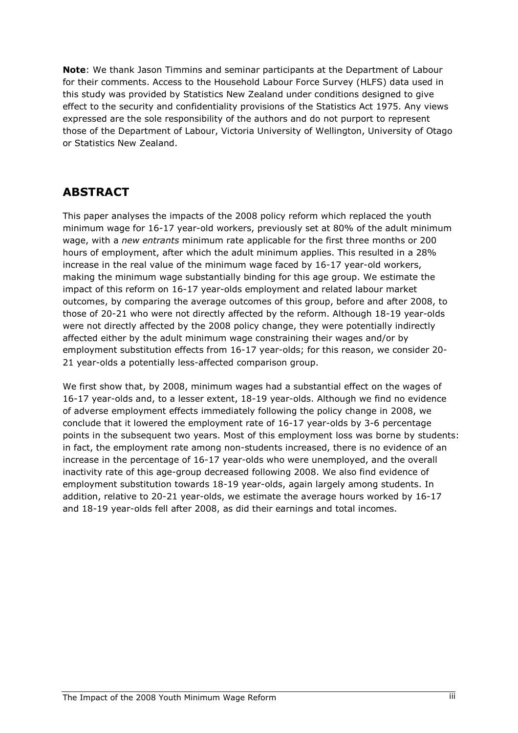Note: We thank Jason Timmins and seminar participants at the Department of Labour for their comments. Access to the Household Labour Force Survey (HLFS) data used in this study was provided by Statistics New Zealand under conditions designed to give effect to the security and confidentiality provisions of the Statistics Act 1975. Any views expressed are the sole responsibility of the authors and do not purport to represent those of the Department of Labour, Victoria University of Wellington, University of Otago or Statistics New Zealand.

# ABSTRACT

This paper analyses the impacts of the 2008 policy reform which replaced the youth minimum wage for 16-17 year-old workers, previously set at 80% of the adult minimum wage, with a new entrants minimum rate applicable for the first three months or 200 hours of employment, after which the adult minimum applies. This resulted in a 28% increase in the real value of the minimum wage faced by 16-17 year-old workers, making the minimum wage substantially binding for this age group. We estimate the impact of this reform on 16-17 year-olds employment and related labour market outcomes, by comparing the average outcomes of this group, before and after 2008, to those of 20-21 who were not directly affected by the reform. Although 18-19 year-olds were not directly affected by the 2008 policy change, they were potentially indirectly affected either by the adult minimum wage constraining their wages and/or by employment substitution effects from 16-17 year-olds; for this reason, we consider 20- 21 year-olds a potentially less-affected comparison group.

We first show that, by 2008, minimum wages had a substantial effect on the wages of 16-17 year-olds and, to a lesser extent, 18-19 year-olds. Although we find no evidence of adverse employment effects immediately following the policy change in 2008, we conclude that it lowered the employment rate of 16-17 year-olds by 3-6 percentage points in the subsequent two years. Most of this employment loss was borne by students: in fact, the employment rate among non-students increased, there is no evidence of an increase in the percentage of 16-17 year-olds who were unemployed, and the overall inactivity rate of this age-group decreased following 2008. We also find evidence of employment substitution towards 18-19 year-olds, again largely among students. In addition, relative to 20-21 year-olds, we estimate the average hours worked by 16-17 and 18-19 year-olds fell after 2008, as did their earnings and total incomes.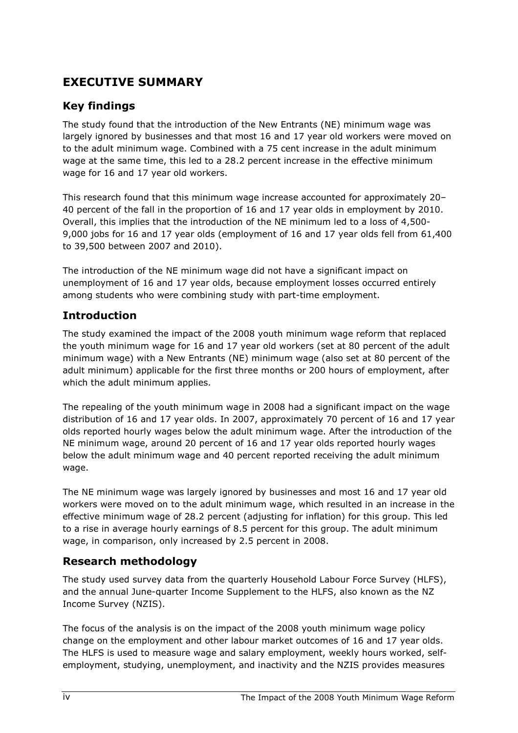# EXECUTIVE SUMMARY

# Key findings

The study found that the introduction of the New Entrants (NE) minimum wage was largely ignored by businesses and that most 16 and 17 year old workers were moved on to the adult minimum wage. Combined with a 75 cent increase in the adult minimum wage at the same time, this led to a 28.2 percent increase in the effective minimum wage for 16 and 17 year old workers.

This research found that this minimum wage increase accounted for approximately 20– 40 percent of the fall in the proportion of 16 and 17 year olds in employment by 2010. Overall, this implies that the introduction of the NE minimum led to a loss of 4,500- 9,000 jobs for 16 and 17 year olds (employment of 16 and 17 year olds fell from 61,400 to 39,500 between 2007 and 2010).

The introduction of the NE minimum wage did not have a significant impact on unemployment of 16 and 17 year olds, because employment losses occurred entirely among students who were combining study with part-time employment.

### Introduction

The study examined the impact of the 2008 youth minimum wage reform that replaced the youth minimum wage for 16 and 17 year old workers (set at 80 percent of the adult minimum wage) with a New Entrants (NE) minimum wage (also set at 80 percent of the adult minimum) applicable for the first three months or 200 hours of employment, after which the adult minimum applies.

The repealing of the youth minimum wage in 2008 had a significant impact on the wage distribution of 16 and 17 year olds. In 2007, approximately 70 percent of 16 and 17 year olds reported hourly wages below the adult minimum wage. After the introduction of the NE minimum wage, around 20 percent of 16 and 17 year olds reported hourly wages below the adult minimum wage and 40 percent reported receiving the adult minimum wage.

The NE minimum wage was largely ignored by businesses and most 16 and 17 year old workers were moved on to the adult minimum wage, which resulted in an increase in the effective minimum wage of 28.2 percent (adjusting for inflation) for this group. This led to a rise in average hourly earnings of 8.5 percent for this group. The adult minimum wage, in comparison, only increased by 2.5 percent in 2008.

#### Research methodology

The study used survey data from the quarterly Household Labour Force Survey (HLFS), and the annual June-quarter Income Supplement to the HLFS, also known as the NZ Income Survey (NZIS).

The focus of the analysis is on the impact of the 2008 youth minimum wage policy change on the employment and other labour market outcomes of 16 and 17 year olds. The HLFS is used to measure wage and salary employment, weekly hours worked, selfemployment, studying, unemployment, and inactivity and the NZIS provides measures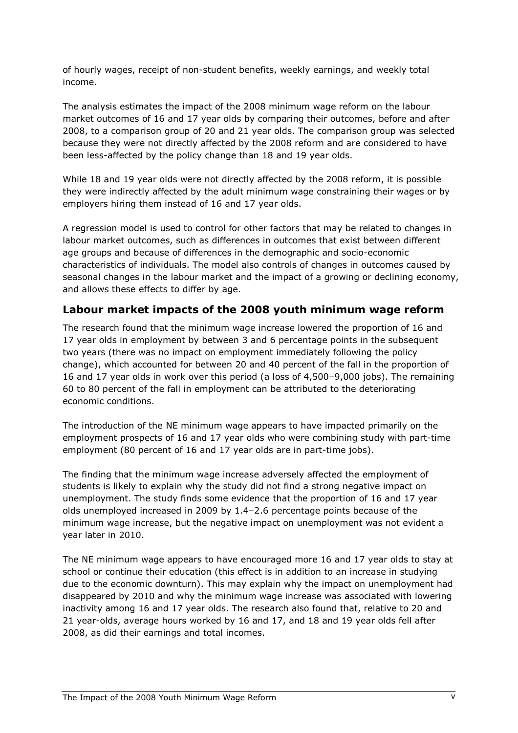of hourly wages, receipt of non-student benefits, weekly earnings, and weekly total income.

The analysis estimates the impact of the 2008 minimum wage reform on the labour market outcomes of 16 and 17 year olds by comparing their outcomes, before and after 2008, to a comparison group of 20 and 21 year olds. The comparison group was selected because they were not directly affected by the 2008 reform and are considered to have been less-affected by the policy change than 18 and 19 year olds.

While 18 and 19 year olds were not directly affected by the 2008 reform, it is possible they were indirectly affected by the adult minimum wage constraining their wages or by employers hiring them instead of 16 and 17 year olds.

A regression model is used to control for other factors that may be related to changes in labour market outcomes, such as differences in outcomes that exist between different age groups and because of differences in the demographic and socio-economic characteristics of individuals. The model also controls of changes in outcomes caused by seasonal changes in the labour market and the impact of a growing or declining economy, and allows these effects to differ by age.

#### Labour market impacts of the 2008 youth minimum wage reform

The research found that the minimum wage increase lowered the proportion of 16 and 17 year olds in employment by between 3 and 6 percentage points in the subsequent two years (there was no impact on employment immediately following the policy change), which accounted for between 20 and 40 percent of the fall in the proportion of 16 and 17 year olds in work over this period (a loss of 4,500–9,000 jobs). The remaining 60 to 80 percent of the fall in employment can be attributed to the deteriorating economic conditions.

The introduction of the NE minimum wage appears to have impacted primarily on the employment prospects of 16 and 17 year olds who were combining study with part-time employment (80 percent of 16 and 17 year olds are in part-time jobs).

The finding that the minimum wage increase adversely affected the employment of students is likely to explain why the study did not find a strong negative impact on unemployment. The study finds some evidence that the proportion of 16 and 17 year olds unemployed increased in 2009 by 1.4–2.6 percentage points because of the minimum wage increase, but the negative impact on unemployment was not evident a year later in 2010.

The NE minimum wage appears to have encouraged more 16 and 17 year olds to stay at school or continue their education (this effect is in addition to an increase in studying due to the economic downturn). This may explain why the impact on unemployment had disappeared by 2010 and why the minimum wage increase was associated with lowering inactivity among 16 and 17 year olds. The research also found that, relative to 20 and 21 year-olds, average hours worked by 16 and 17, and 18 and 19 year olds fell after 2008, as did their earnings and total incomes.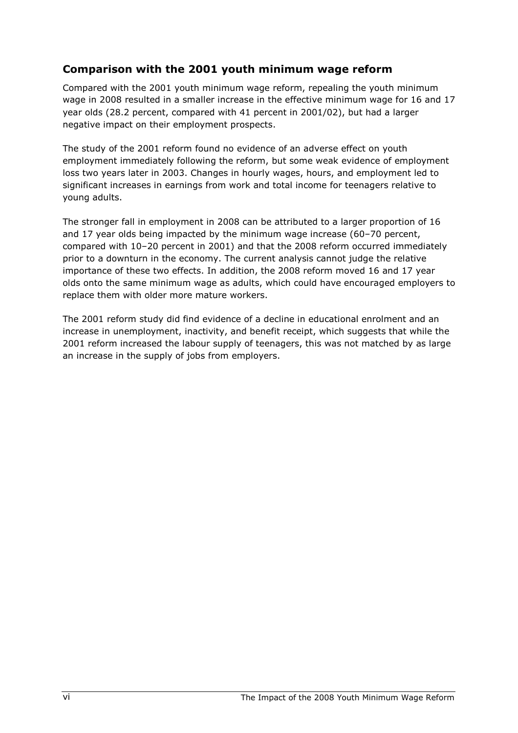### Comparison with the 2001 youth minimum wage reform

Compared with the 2001 youth minimum wage reform, repealing the youth minimum wage in 2008 resulted in a smaller increase in the effective minimum wage for 16 and 17 year olds (28.2 percent, compared with 41 percent in 2001/02), but had a larger negative impact on their employment prospects.

The study of the 2001 reform found no evidence of an adverse effect on youth employment immediately following the reform, but some weak evidence of employment loss two years later in 2003. Changes in hourly wages, hours, and employment led to significant increases in earnings from work and total income for teenagers relative to young adults.

The stronger fall in employment in 2008 can be attributed to a larger proportion of 16 and 17 year olds being impacted by the minimum wage increase (60–70 percent, compared with 10–20 percent in 2001) and that the 2008 reform occurred immediately prior to a downturn in the economy. The current analysis cannot judge the relative importance of these two effects. In addition, the 2008 reform moved 16 and 17 year olds onto the same minimum wage as adults, which could have encouraged employers to replace them with older more mature workers.

The 2001 reform study did find evidence of a decline in educational enrolment and an increase in unemployment, inactivity, and benefit receipt, which suggests that while the 2001 reform increased the labour supply of teenagers, this was not matched by as large an increase in the supply of jobs from employers.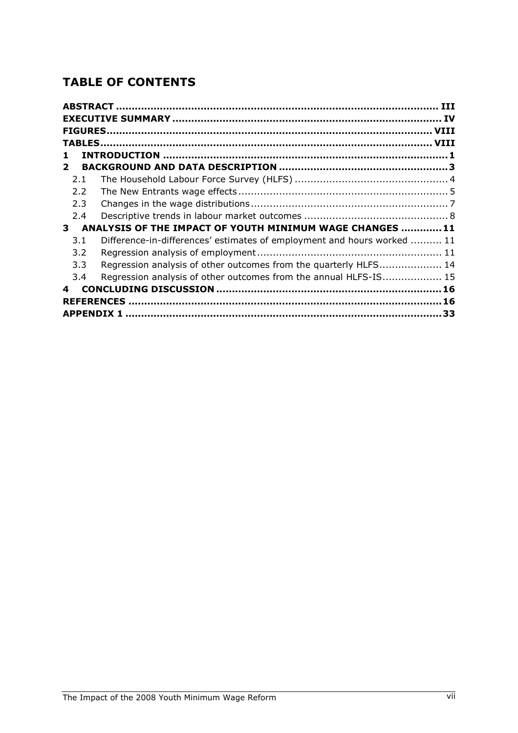# TABLE OF CONTENTS

| 1                 |                                                                         |
|-------------------|-------------------------------------------------------------------------|
| $\mathbf{2}$      |                                                                         |
| 2.1               |                                                                         |
| $2.2^{\circ}$     |                                                                         |
| 2.3               |                                                                         |
| 2.4               |                                                                         |
| 3                 | ANALYSIS OF THE IMPACT OF YOUTH MINIMUM WAGE CHANGES 11                 |
| 3.1               | Difference-in-differences' estimates of employment and hours worked  11 |
| 3.2               |                                                                         |
| 3.3               | Regression analysis of other outcomes from the quarterly HLFS 14        |
| 3.4               | Regression analysis of other outcomes from the annual HLFS-IS 15        |
| 4                 |                                                                         |
|                   |                                                                         |
| <b>APPENDIX 1</b> | . 33                                                                    |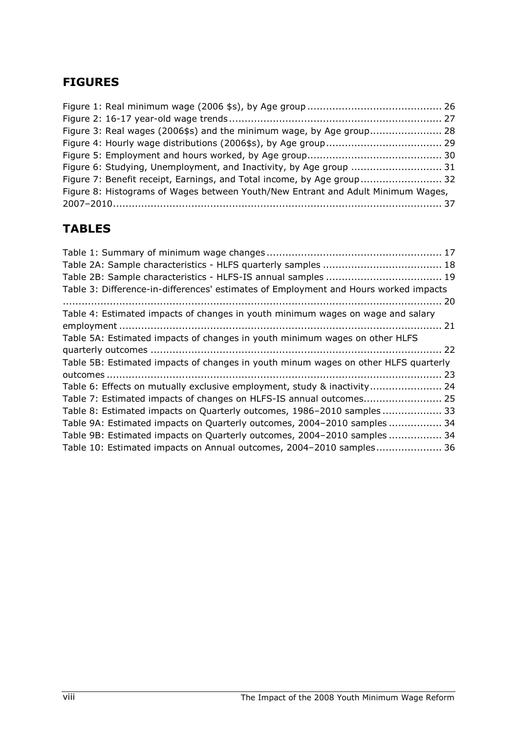# FIGURES

| Figure 3: Real wages (2006\$s) and the minimum wage, by Age group 28             |  |
|----------------------------------------------------------------------------------|--|
|                                                                                  |  |
|                                                                                  |  |
| Figure 6: Studying, Unemployment, and Inactivity, by Age group  31               |  |
| Figure 7: Benefit receipt, Earnings, and Total income, by Age group 32           |  |
| Figure 8: Histograms of Wages between Youth/New Entrant and Adult Minimum Wages, |  |
|                                                                                  |  |

# TABLES

| Table 5B: Estimated impacts of changes in youth minum wages on other HLFS quarterly |
|-------------------------------------------------------------------------------------|
|                                                                                     |
| Table 6: Effects on mutually exclusive employment, study & inactivity 24            |
|                                                                                     |
| Table 8: Estimated impacts on Quarterly outcomes, 1986-2010 samples  33             |
| Table 9A: Estimated impacts on Quarterly outcomes, 2004-2010 samples  34            |
| Table 9B: Estimated impacts on Quarterly outcomes, 2004-2010 samples  34            |
| Table 10: Estimated impacts on Annual outcomes, 2004-2010 samples 36                |
|                                                                                     |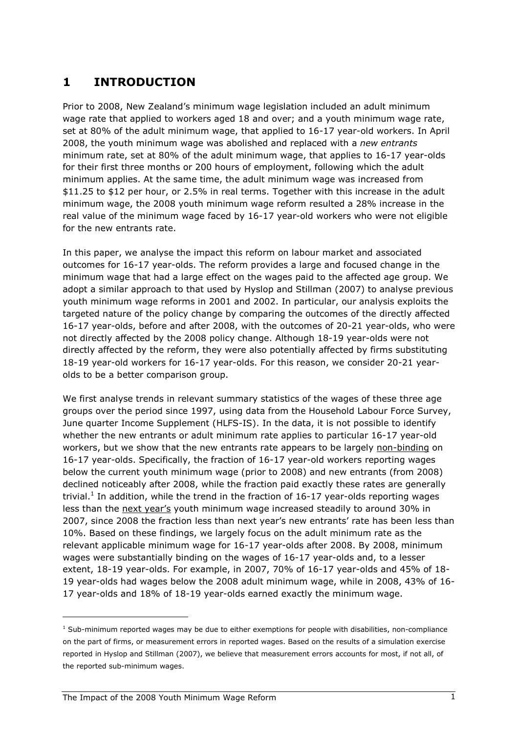# 1 INTRODUCTION

Prior to 2008, New Zealand's minimum wage legislation included an adult minimum wage rate that applied to workers aged 18 and over; and a youth minimum wage rate, set at 80% of the adult minimum wage, that applied to 16-17 year-old workers. In April 2008, the youth minimum wage was abolished and replaced with a new entrants minimum rate, set at 80% of the adult minimum wage, that applies to 16-17 year-olds for their first three months or 200 hours of employment, following which the adult minimum applies. At the same time, the adult minimum wage was increased from \$11.25 to \$12 per hour, or 2.5% in real terms. Together with this increase in the adult minimum wage, the 2008 youth minimum wage reform resulted a 28% increase in the real value of the minimum wage faced by 16-17 year-old workers who were not eligible for the new entrants rate.

In this paper, we analyse the impact this reform on labour market and associated outcomes for 16-17 year-olds. The reform provides a large and focused change in the minimum wage that had a large effect on the wages paid to the affected age group. We adopt a similar approach to that used by Hyslop and Stillman (2007) to analyse previous youth minimum wage reforms in 2001 and 2002. In particular, our analysis exploits the targeted nature of the policy change by comparing the outcomes of the directly affected 16-17 year-olds, before and after 2008, with the outcomes of 20-21 year-olds, who were not directly affected by the 2008 policy change. Although 18-19 year-olds were not directly affected by the reform, they were also potentially affected by firms substituting 18-19 year-old workers for 16-17 year-olds. For this reason, we consider 20-21 yearolds to be a better comparison group.

We first analyse trends in relevant summary statistics of the wages of these three age groups over the period since 1997, using data from the Household Labour Force Survey, June quarter Income Supplement (HLFS-IS). In the data, it is not possible to identify whether the new entrants or adult minimum rate applies to particular 16-17 year-old workers, but we show that the new entrants rate appears to be largely non-binding on 16-17 year-olds. Specifically, the fraction of 16-17 year-old workers reporting wages below the current youth minimum wage (prior to 2008) and new entrants (from 2008) declined noticeably after 2008, while the fraction paid exactly these rates are generally trivial.<sup>1</sup> In addition, while the trend in the fraction of 16-17 year-olds reporting wages less than the next year's youth minimum wage increased steadily to around 30% in 2007, since 2008 the fraction less than next year's new entrants' rate has been less than 10%. Based on these findings, we largely focus on the adult minimum rate as the relevant applicable minimum wage for 16-17 year-olds after 2008. By 2008, minimum wages were substantially binding on the wages of 16-17 year-olds and, to a lesser extent, 18-19 year-olds. For example, in 2007, 70% of 16-17 year-olds and 45% of 18- 19 year-olds had wages below the 2008 adult minimum wage, while in 2008, 43% of 16- 17 year-olds and 18% of 18-19 year-olds earned exactly the minimum wage.

<sup>&</sup>lt;sup>1</sup> Sub-minimum reported wages may be due to either exemptions for people with disabilities, non-compliance on the part of firms, or measurement errors in reported wages. Based on the results of a simulation exercise reported in Hyslop and Stillman (2007), we believe that measurement errors accounts for most, if not all, of the reported sub-minimum wages.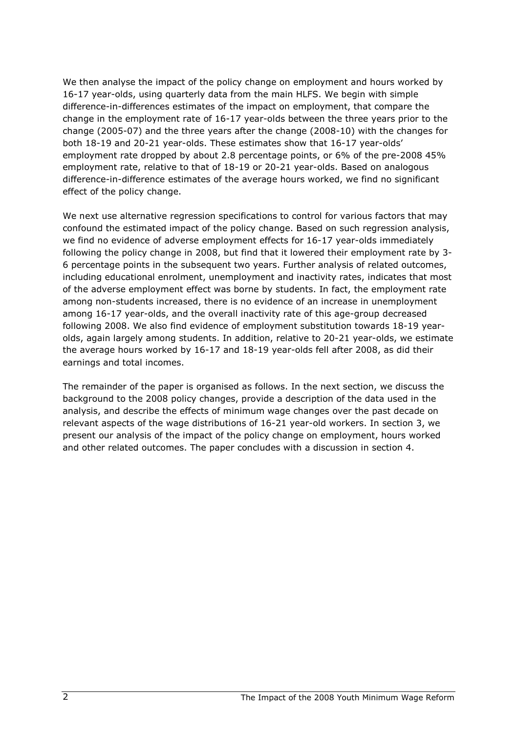We then analyse the impact of the policy change on employment and hours worked by 16-17 year-olds, using quarterly data from the main HLFS. We begin with simple difference-in-differences estimates of the impact on employment, that compare the change in the employment rate of 16-17 year-olds between the three years prior to the change (2005-07) and the three years after the change (2008-10) with the changes for both 18-19 and 20-21 year-olds. These estimates show that 16-17 year-olds' employment rate dropped by about 2.8 percentage points, or 6% of the pre-2008 45% employment rate, relative to that of 18-19 or 20-21 year-olds. Based on analogous difference-in-difference estimates of the average hours worked, we find no significant effect of the policy change.

We next use alternative regression specifications to control for various factors that may confound the estimated impact of the policy change. Based on such regression analysis, we find no evidence of adverse employment effects for 16-17 year-olds immediately following the policy change in 2008, but find that it lowered their employment rate by 3- 6 percentage points in the subsequent two years. Further analysis of related outcomes, including educational enrolment, unemployment and inactivity rates, indicates that most of the adverse employment effect was borne by students. In fact, the employment rate among non-students increased, there is no evidence of an increase in unemployment among 16-17 year-olds, and the overall inactivity rate of this age-group decreased following 2008. We also find evidence of employment substitution towards 18-19 yearolds, again largely among students. In addition, relative to 20-21 year-olds, we estimate the average hours worked by 16-17 and 18-19 year-olds fell after 2008, as did their earnings and total incomes.

The remainder of the paper is organised as follows. In the next section, we discuss the background to the 2008 policy changes, provide a description of the data used in the analysis, and describe the effects of minimum wage changes over the past decade on relevant aspects of the wage distributions of 16-21 year-old workers. In section 3, we present our analysis of the impact of the policy change on employment, hours worked and other related outcomes. The paper concludes with a discussion in section 4.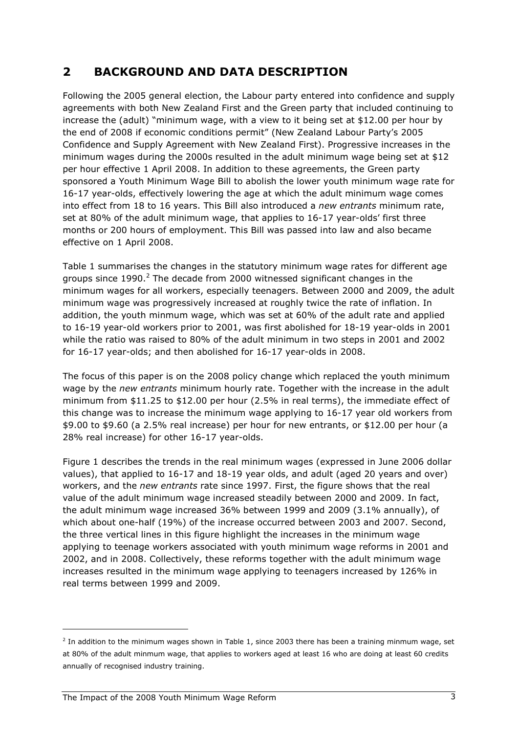# 2 BACKGROUND AND DATA DESCRIPTION

Following the 2005 general election, the Labour party entered into confidence and supply agreements with both New Zealand First and the Green party that included continuing to increase the (adult) "minimum wage, with a view to it being set at \$12.00 per hour by the end of 2008 if economic conditions permit" (New Zealand Labour Party's 2005 Confidence and Supply Agreement with New Zealand First). Progressive increases in the minimum wages during the 2000s resulted in the adult minimum wage being set at \$12 per hour effective 1 April 2008. In addition to these agreements, the Green party sponsored a Youth Minimum Wage Bill to abolish the lower youth minimum wage rate for 16-17 year-olds, effectively lowering the age at which the adult minimum wage comes into effect from 18 to 16 years. This Bill also introduced a new entrants minimum rate, set at 80% of the adult minimum wage, that applies to 16-17 year-olds' first three months or 200 hours of employment. This Bill was passed into law and also became effective on 1 April 2008.

Table 1 summarises the changes in the statutory minimum wage rates for different age groups since 1990.<sup>2</sup> The decade from 2000 witnessed significant changes in the minimum wages for all workers, especially teenagers. Between 2000 and 2009, the adult minimum wage was progressively increased at roughly twice the rate of inflation. In addition, the youth minmum wage, which was set at 60% of the adult rate and applied to 16-19 year-old workers prior to 2001, was first abolished for 18-19 year-olds in 2001 while the ratio was raised to 80% of the adult minimum in two steps in 2001 and 2002 for 16-17 year-olds; and then abolished for 16-17 year-olds in 2008.

The focus of this paper is on the 2008 policy change which replaced the youth minimum wage by the new entrants minimum hourly rate. Together with the increase in the adult minimum from \$11.25 to \$12.00 per hour (2.5% in real terms), the immediate effect of this change was to increase the minimum wage applying to 16-17 year old workers from \$9.00 to \$9.60 (a 2.5% real increase) per hour for new entrants, or \$12.00 per hour (a 28% real increase) for other 16-17 year-olds.

Figure 1 describes the trends in the real minimum wages (expressed in June 2006 dollar values), that applied to 16-17 and 18-19 year olds, and adult (aged 20 years and over) workers, and the new entrants rate since 1997. First, the figure shows that the real value of the adult minimum wage increased steadily between 2000 and 2009. In fact, the adult minimum wage increased 36% between 1999 and 2009 (3.1% annually), of which about one-half (19%) of the increase occurred between 2003 and 2007. Second, the three vertical lines in this figure highlight the increases in the minimum wage applying to teenage workers associated with youth minimum wage reforms in 2001 and 2002, and in 2008. Collectively, these reforms together with the adult minimum wage increases resulted in the minimum wage applying to teenagers increased by 126% in real terms between 1999 and 2009.

l

 $^2$  In addition to the minimum wages shown in Table 1, since 2003 there has been a training minmum wage, set at 80% of the adult minmum wage, that applies to workers aged at least 16 who are doing at least 60 credits annually of recognised industry training.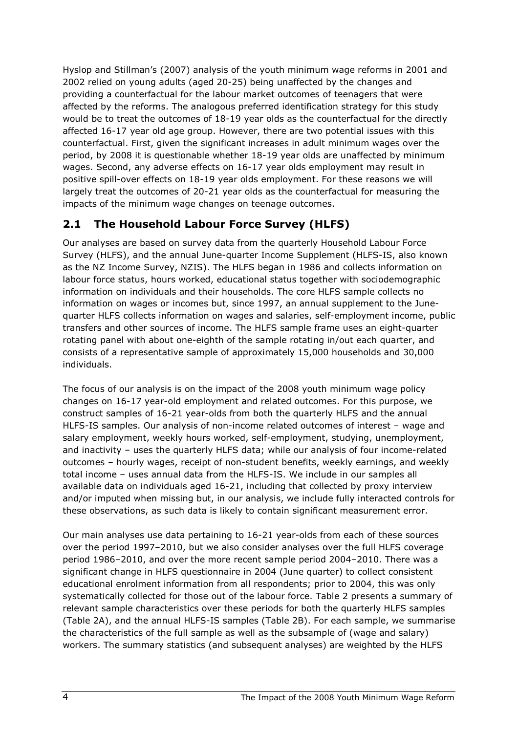Hyslop and Stillman's (2007) analysis of the youth minimum wage reforms in 2001 and 2002 relied on young adults (aged 20-25) being unaffected by the changes and providing a counterfactual for the labour market outcomes of teenagers that were affected by the reforms. The analogous preferred identification strategy for this study would be to treat the outcomes of 18-19 year olds as the counterfactual for the directly affected 16-17 year old age group. However, there are two potential issues with this counterfactual. First, given the significant increases in adult minimum wages over the period, by 2008 it is questionable whether 18-19 year olds are unaffected by minimum wages. Second, any adverse effects on 16-17 year olds employment may result in positive spill-over effects on 18-19 year olds employment. For these reasons we will largely treat the outcomes of 20-21 year olds as the counterfactual for measuring the impacts of the minimum wage changes on teenage outcomes.

# 2.1 The Household Labour Force Survey (HLFS)

Our analyses are based on survey data from the quarterly Household Labour Force Survey (HLFS), and the annual June-quarter Income Supplement (HLFS-IS, also known as the NZ Income Survey, NZIS). The HLFS began in 1986 and collects information on labour force status, hours worked, educational status together with sociodemographic information on individuals and their households. The core HLFS sample collects no information on wages or incomes but, since 1997, an annual supplement to the Junequarter HLFS collects information on wages and salaries, self-employment income, public transfers and other sources of income. The HLFS sample frame uses an eight-quarter rotating panel with about one-eighth of the sample rotating in/out each quarter, and consists of a representative sample of approximately 15,000 households and 30,000 individuals.

The focus of our analysis is on the impact of the 2008 youth minimum wage policy changes on 16-17 year-old employment and related outcomes. For this purpose, we construct samples of 16-21 year-olds from both the quarterly HLFS and the annual HLFS-IS samples. Our analysis of non-income related outcomes of interest – wage and salary employment, weekly hours worked, self-employment, studying, unemployment, and inactivity – uses the quarterly HLFS data; while our analysis of four income-related outcomes – hourly wages, receipt of non-student benefits, weekly earnings, and weekly total income – uses annual data from the HLFS-IS. We include in our samples all available data on individuals aged 16-21, including that collected by proxy interview and/or imputed when missing but, in our analysis, we include fully interacted controls for these observations, as such data is likely to contain significant measurement error.

Our main analyses use data pertaining to 16-21 year-olds from each of these sources over the period 1997–2010, but we also consider analyses over the full HLFS coverage period 1986–2010, and over the more recent sample period 2004–2010. There was a significant change in HLFS questionnaire in 2004 (June quarter) to collect consistent educational enrolment information from all respondents; prior to 2004, this was only systematically collected for those out of the labour force. Table 2 presents a summary of relevant sample characteristics over these periods for both the quarterly HLFS samples (Table 2A), and the annual HLFS-IS samples (Table 2B). For each sample, we summarise the characteristics of the full sample as well as the subsample of (wage and salary) workers. The summary statistics (and subsequent analyses) are weighted by the HLFS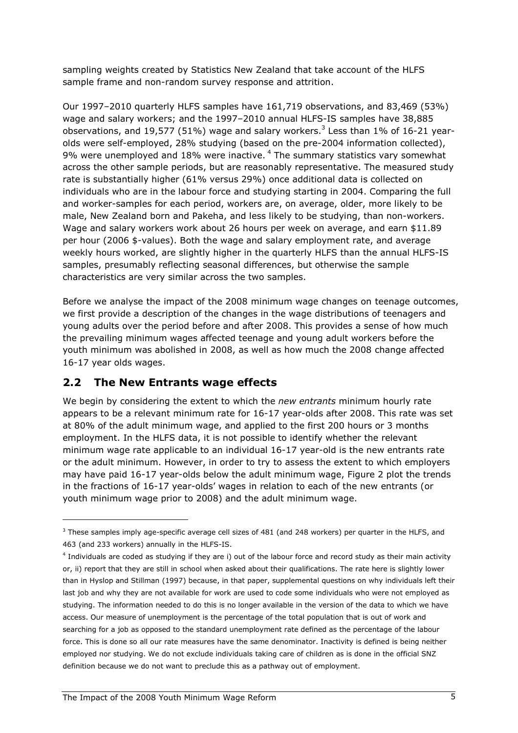sampling weights created by Statistics New Zealand that take account of the HLFS sample frame and non-random survey response and attrition.

Our 1997–2010 quarterly HLFS samples have 161,719 observations, and 83,469 (53%) wage and salary workers; and the 1997–2010 annual HLFS-IS samples have 38,885 observations, and 19,577 (51%) wage and salary workers.<sup>3</sup> Less than 1% of 16-21 yearolds were self-employed, 28% studying (based on the pre-2004 information collected), 9% were unemployed and 18% were inactive.  $4$  The summary statistics vary somewhat across the other sample periods, but are reasonably representative. The measured study rate is substantially higher (61% versus 29%) once additional data is collected on individuals who are in the labour force and studying starting in 2004. Comparing the full and worker-samples for each period, workers are, on average, older, more likely to be male, New Zealand born and Pakeha, and less likely to be studying, than non-workers. Wage and salary workers work about 26 hours per week on average, and earn \$11.89 per hour (2006 \$-values). Both the wage and salary employment rate, and average weekly hours worked, are slightly higher in the quarterly HLFS than the annual HLFS-IS samples, presumably reflecting seasonal differences, but otherwise the sample characteristics are very similar across the two samples.

Before we analyse the impact of the 2008 minimum wage changes on teenage outcomes, we first provide a description of the changes in the wage distributions of teenagers and young adults over the period before and after 2008. This provides a sense of how much the prevailing minimum wages affected teenage and young adult workers before the youth minimum was abolished in 2008, as well as how much the 2008 change affected 16-17 year olds wages.

#### 2.2 The New Entrants wage effects

l

We begin by considering the extent to which the new entrants minimum hourly rate appears to be a relevant minimum rate for 16-17 year-olds after 2008. This rate was set at 80% of the adult minimum wage, and applied to the first 200 hours or 3 months employment. In the HLFS data, it is not possible to identify whether the relevant minimum wage rate applicable to an individual 16-17 year-old is the new entrants rate or the adult minimum. However, in order to try to assess the extent to which employers may have paid 16-17 year-olds below the adult minimum wage, Figure 2 plot the trends in the fractions of 16-17 year-olds' wages in relation to each of the new entrants (or youth minimum wage prior to 2008) and the adult minimum wage.

 $3$  These samples imply age-specific average cell sizes of 481 (and 248 workers) per quarter in the HLFS, and 463 (and 233 workers) annually in the HLFS-IS.

<sup>4</sup> Individuals are coded as studying if they are i) out of the labour force and record study as their main activity or, ii) report that they are still in school when asked about their qualifications. The rate here is slightly lower than in Hyslop and Stillman (1997) because, in that paper, supplemental questions on why individuals left their last job and why they are not available for work are used to code some individuals who were not employed as studying. The information needed to do this is no longer available in the version of the data to which we have access. Our measure of unemployment is the percentage of the total population that is out of work and searching for a job as opposed to the standard unemployment rate defined as the percentage of the labour force. This is done so all our rate measures have the same denominator. Inactivity is defined is being neither employed nor studying. We do not exclude individuals taking care of children as is done in the official SNZ definition because we do not want to preclude this as a pathway out of employment.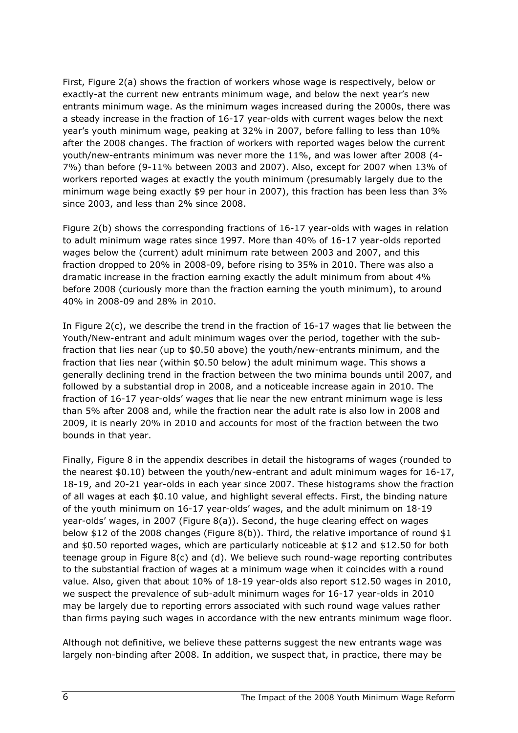First, Figure 2(a) shows the fraction of workers whose wage is respectively, below or exactly-at the current new entrants minimum wage, and below the next year's new entrants minimum wage. As the minimum wages increased during the 2000s, there was a steady increase in the fraction of 16-17 year-olds with current wages below the next year's youth minimum wage, peaking at 32% in 2007, before falling to less than 10% after the 2008 changes. The fraction of workers with reported wages below the current youth/new-entrants minimum was never more the 11%, and was lower after 2008 (4- 7%) than before (9-11% between 2003 and 2007). Also, except for 2007 when 13% of workers reported wages at exactly the youth minimum (presumably largely due to the minimum wage being exactly \$9 per hour in 2007), this fraction has been less than 3% since 2003, and less than 2% since 2008.

Figure 2(b) shows the corresponding fractions of 16-17 year-olds with wages in relation to adult minimum wage rates since 1997. More than 40% of 16-17 year-olds reported wages below the (current) adult minimum rate between 2003 and 2007, and this fraction dropped to 20% in 2008-09, before rising to 35% in 2010. There was also a dramatic increase in the fraction earning exactly the adult minimum from about 4% before 2008 (curiously more than the fraction earning the youth minimum), to around 40% in 2008-09 and 28% in 2010.

In Figure 2(c), we describe the trend in the fraction of 16-17 wages that lie between the Youth/New-entrant and adult minimum wages over the period, together with the subfraction that lies near (up to \$0.50 above) the youth/new-entrants minimum, and the fraction that lies near (within \$0.50 below) the adult minimum wage. This shows a generally declining trend in the fraction between the two minima bounds until 2007, and followed by a substantial drop in 2008, and a noticeable increase again in 2010. The fraction of 16-17 year-olds' wages that lie near the new entrant minimum wage is less than 5% after 2008 and, while the fraction near the adult rate is also low in 2008 and 2009, it is nearly 20% in 2010 and accounts for most of the fraction between the two bounds in that year.

Finally, Figure 8 in the appendix describes in detail the histograms of wages (rounded to the nearest \$0.10) between the youth/new-entrant and adult minimum wages for 16-17, 18-19, and 20-21 year-olds in each year since 2007. These histograms show the fraction of all wages at each \$0.10 value, and highlight several effects. First, the binding nature of the youth minimum on 16-17 year-olds' wages, and the adult minimum on 18-19 year-olds' wages, in 2007 (Figure 8(a)). Second, the huge clearing effect on wages below \$12 of the 2008 changes (Figure 8(b)). Third, the relative importance of round \$1 and \$0.50 reported wages, which are particularly noticeable at \$12 and \$12.50 for both teenage group in Figure 8(c) and (d). We believe such round-wage reporting contributes to the substantial fraction of wages at a minimum wage when it coincides with a round value. Also, given that about 10% of 18-19 year-olds also report \$12.50 wages in 2010, we suspect the prevalence of sub-adult minimum wages for 16-17 year-olds in 2010 may be largely due to reporting errors associated with such round wage values rather than firms paying such wages in accordance with the new entrants minimum wage floor.

Although not definitive, we believe these patterns suggest the new entrants wage was largely non-binding after 2008. In addition, we suspect that, in practice, there may be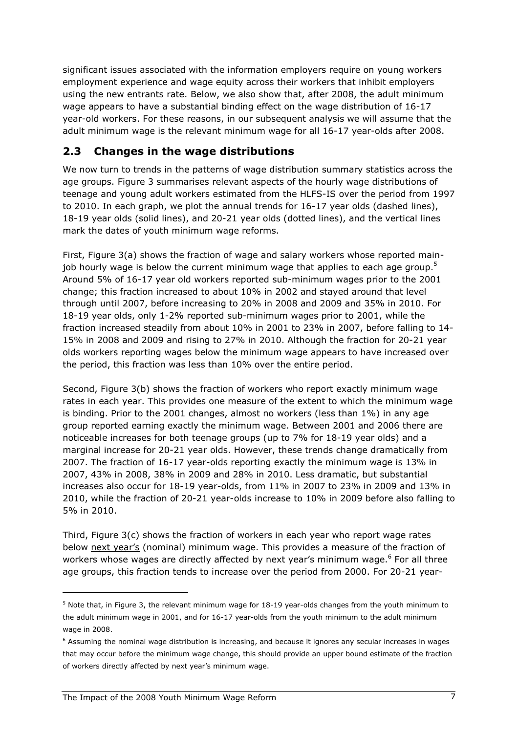significant issues associated with the information employers require on young workers employment experience and wage equity across their workers that inhibit employers using the new entrants rate. Below, we also show that, after 2008, the adult minimum wage appears to have a substantial binding effect on the wage distribution of 16-17 year-old workers. For these reasons, in our subsequent analysis we will assume that the adult minimum wage is the relevant minimum wage for all 16-17 year-olds after 2008.

#### 2.3 Changes in the wage distributions

We now turn to trends in the patterns of wage distribution summary statistics across the age groups. Figure 3 summarises relevant aspects of the hourly wage distributions of teenage and young adult workers estimated from the HLFS-IS over the period from 1997 to 2010. In each graph, we plot the annual trends for 16-17 year olds (dashed lines), 18-19 year olds (solid lines), and 20-21 year olds (dotted lines), and the vertical lines mark the dates of youth minimum wage reforms.

First, Figure 3(a) shows the fraction of wage and salary workers whose reported mainjob hourly wage is below the current minimum wage that applies to each age group.<sup>5</sup> Around 5% of 16-17 year old workers reported sub-minimum wages prior to the 2001 change; this fraction increased to about 10% in 2002 and stayed around that level through until 2007, before increasing to 20% in 2008 and 2009 and 35% in 2010. For 18-19 year olds, only 1-2% reported sub-minimum wages prior to 2001, while the fraction increased steadily from about 10% in 2001 to 23% in 2007, before falling to 14- 15% in 2008 and 2009 and rising to 27% in 2010. Although the fraction for 20-21 year olds workers reporting wages below the minimum wage appears to have increased over the period, this fraction was less than 10% over the entire period.

Second, Figure 3(b) shows the fraction of workers who report exactly minimum wage rates in each year. This provides one measure of the extent to which the minimum wage is binding. Prior to the 2001 changes, almost no workers (less than 1%) in any age group reported earning exactly the minimum wage. Between 2001 and 2006 there are noticeable increases for both teenage groups (up to 7% for 18-19 year olds) and a marginal increase for 20-21 year olds. However, these trends change dramatically from 2007. The fraction of 16-17 year-olds reporting exactly the minimum wage is 13% in 2007, 43% in 2008, 38% in 2009 and 28% in 2010. Less dramatic, but substantial increases also occur for 18-19 year-olds, from 11% in 2007 to 23% in 2009 and 13% in 2010, while the fraction of 20-21 year-olds increase to 10% in 2009 before also falling to 5% in 2010.

Third, Figure 3(c) shows the fraction of workers in each year who report wage rates below next year's (nominal) minimum wage. This provides a measure of the fraction of workers whose wages are directly affected by next year's minimum wage.<sup>6</sup> For all three age groups, this fraction tends to increase over the period from 2000. For 20-21 year-

l

 $^5$  Note that, in Figure 3, the relevant minimum wage for 18-19 year-olds changes from the youth minimum to the adult minimum wage in 2001, and for 16-17 year-olds from the youth minimum to the adult minimum wage in 2008.

<sup>&</sup>lt;sup>6</sup> Assuming the nominal wage distribution is increasing, and because it ignores any secular increases in wages that may occur before the minimum wage change, this should provide an upper bound estimate of the fraction of workers directly affected by next year's minimum wage.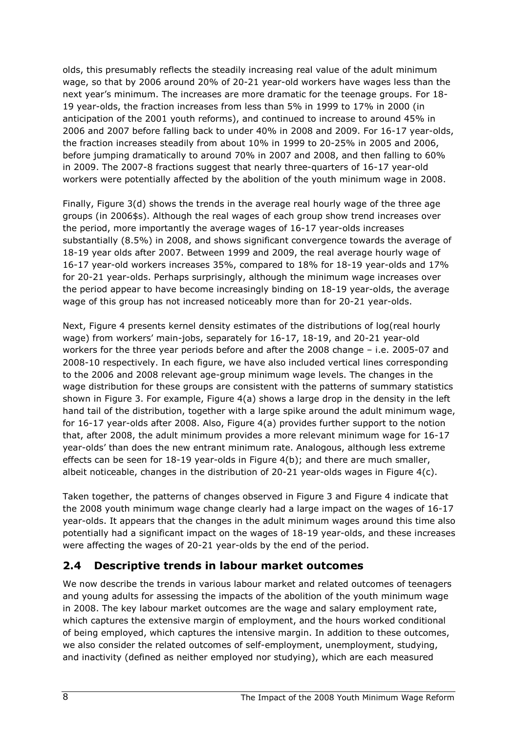olds, this presumably reflects the steadily increasing real value of the adult minimum wage, so that by 2006 around 20% of 20-21 year-old workers have wages less than the next year's minimum. The increases are more dramatic for the teenage groups. For 18- 19 year-olds, the fraction increases from less than 5% in 1999 to 17% in 2000 (in anticipation of the 2001 youth reforms), and continued to increase to around 45% in 2006 and 2007 before falling back to under 40% in 2008 and 2009. For 16-17 year-olds, the fraction increases steadily from about 10% in 1999 to 20-25% in 2005 and 2006, before jumping dramatically to around 70% in 2007 and 2008, and then falling to 60% in 2009. The 2007-8 fractions suggest that nearly three-quarters of 16-17 year-old workers were potentially affected by the abolition of the youth minimum wage in 2008.

Finally, Figure 3(d) shows the trends in the average real hourly wage of the three age groups (in 2006\$s). Although the real wages of each group show trend increases over the period, more importantly the average wages of 16-17 year-olds increases substantially (8.5%) in 2008, and shows significant convergence towards the average of 18-19 year olds after 2007. Between 1999 and 2009, the real average hourly wage of 16-17 year-old workers increases 35%, compared to 18% for 18-19 year-olds and 17% for 20-21 year-olds. Perhaps surprisingly, although the minimum wage increases over the period appear to have become increasingly binding on 18-19 year-olds, the average wage of this group has not increased noticeably more than for 20-21 year-olds.

Next, Figure 4 presents kernel density estimates of the distributions of log(real hourly wage) from workers' main-jobs, separately for 16-17, 18-19, and 20-21 year-old workers for the three year periods before and after the 2008 change – i.e. 2005-07 and 2008-10 respectively. In each figure, we have also included vertical lines corresponding to the 2006 and 2008 relevant age-group minimum wage levels. The changes in the wage distribution for these groups are consistent with the patterns of summary statistics shown in Figure 3. For example, Figure 4(a) shows a large drop in the density in the left hand tail of the distribution, together with a large spike around the adult minimum wage, for 16-17 year-olds after 2008. Also, Figure 4(a) provides further support to the notion that, after 2008, the adult minimum provides a more relevant minimum wage for 16-17 year-olds' than does the new entrant minimum rate. Analogous, although less extreme effects can be seen for 18-19 year-olds in Figure 4(b); and there are much smaller, albeit noticeable, changes in the distribution of 20-21 year-olds wages in Figure  $4(c)$ .

Taken together, the patterns of changes observed in Figure 3 and Figure 4 indicate that the 2008 youth minimum wage change clearly had a large impact on the wages of 16-17 year-olds. It appears that the changes in the adult minimum wages around this time also potentially had a significant impact on the wages of 18-19 year-olds, and these increases were affecting the wages of 20-21 year-olds by the end of the period.

#### 2.4 Descriptive trends in labour market outcomes

We now describe the trends in various labour market and related outcomes of teenagers and young adults for assessing the impacts of the abolition of the youth minimum wage in 2008. The key labour market outcomes are the wage and salary employment rate, which captures the extensive margin of employment, and the hours worked conditional of being employed, which captures the intensive margin. In addition to these outcomes, we also consider the related outcomes of self-employment, unemployment, studying, and inactivity (defined as neither employed nor studying), which are each measured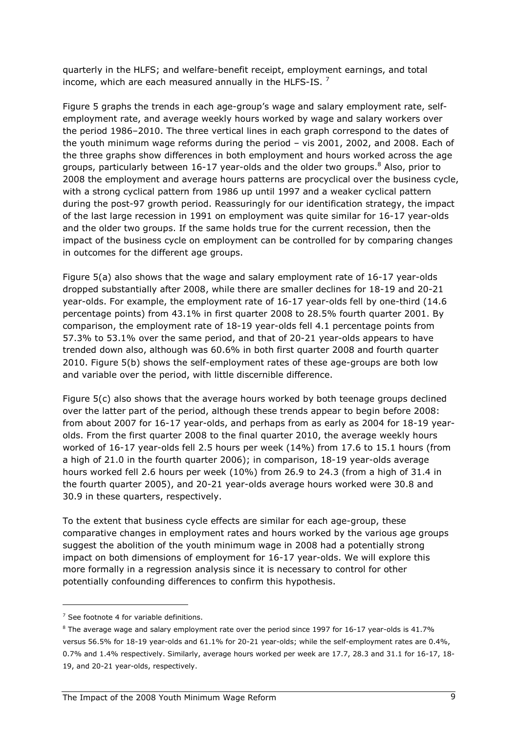quarterly in the HLFS; and welfare-benefit receipt, employment earnings, and total income, which are each measured annually in the HLFS-IS.<sup>7</sup>

Figure 5 graphs the trends in each age-group's wage and salary employment rate, selfemployment rate, and average weekly hours worked by wage and salary workers over the period 1986–2010. The three vertical lines in each graph correspond to the dates of the youth minimum wage reforms during the period – vis 2001, 2002, and 2008. Each of the three graphs show differences in both employment and hours worked across the age groups, particularly between 16-17 year-olds and the older two groups.<sup>8</sup> Also, prior to 2008 the employment and average hours patterns are procyclical over the business cycle, with a strong cyclical pattern from 1986 up until 1997 and a weaker cyclical pattern during the post-97 growth period. Reassuringly for our identification strategy, the impact of the last large recession in 1991 on employment was quite similar for 16-17 year-olds and the older two groups. If the same holds true for the current recession, then the impact of the business cycle on employment can be controlled for by comparing changes in outcomes for the different age groups.

Figure 5(a) also shows that the wage and salary employment rate of 16-17 year-olds dropped substantially after 2008, while there are smaller declines for 18-19 and 20-21 year-olds. For example, the employment rate of 16-17 year-olds fell by one-third (14.6 percentage points) from 43.1% in first quarter 2008 to 28.5% fourth quarter 2001. By comparison, the employment rate of 18-19 year-olds fell 4.1 percentage points from 57.3% to 53.1% over the same period, and that of 20-21 year-olds appears to have trended down also, although was 60.6% in both first quarter 2008 and fourth quarter 2010. Figure 5(b) shows the self-employment rates of these age-groups are both low and variable over the period, with little discernible difference.

Figure 5(c) also shows that the average hours worked by both teenage groups declined over the latter part of the period, although these trends appear to begin before 2008: from about 2007 for 16-17 year-olds, and perhaps from as early as 2004 for 18-19 yearolds. From the first quarter 2008 to the final quarter 2010, the average weekly hours worked of 16-17 year-olds fell 2.5 hours per week (14%) from 17.6 to 15.1 hours (from a high of 21.0 in the fourth quarter 2006); in comparison, 18-19 year-olds average hours worked fell 2.6 hours per week (10%) from 26.9 to 24.3 (from a high of 31.4 in the fourth quarter 2005), and 20-21 year-olds average hours worked were 30.8 and 30.9 in these quarters, respectively.

To the extent that business cycle effects are similar for each age-group, these comparative changes in employment rates and hours worked by the various age groups suggest the abolition of the youth minimum wage in 2008 had a potentially strong impact on both dimensions of employment for 16-17 year-olds. We will explore this more formally in a regression analysis since it is necessary to control for other potentially confounding differences to confirm this hypothesis.

l

 $7$  See footnote 4 for variable definitions.

 $8$  The average wage and salary employment rate over the period since 1997 for 16-17 year-olds is 41.7% versus 56.5% for 18-19 year-olds and 61.1% for 20-21 year-olds; while the self-employment rates are 0.4%, 0.7% and 1.4% respectively. Similarly, average hours worked per week are 17.7, 28.3 and 31.1 for 16-17, 18- 19, and 20-21 year-olds, respectively.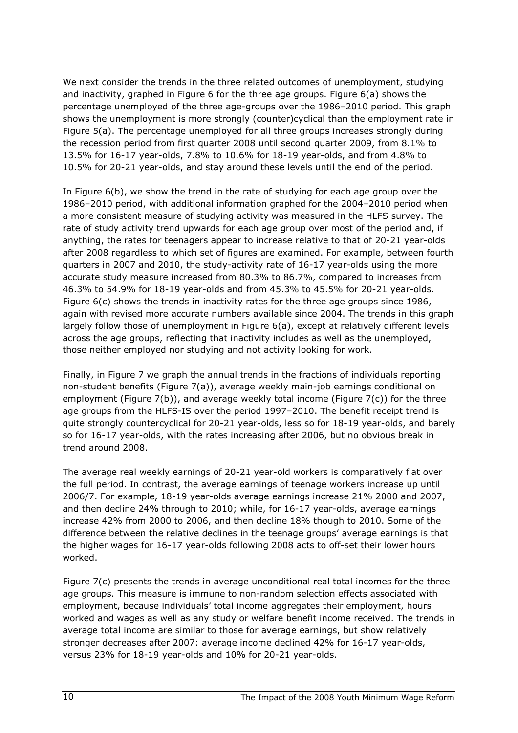We next consider the trends in the three related outcomes of unemployment, studying and inactivity, graphed in Figure 6 for the three age groups. Figure 6(a) shows the percentage unemployed of the three age-groups over the 1986–2010 period. This graph shows the unemployment is more strongly (counter)cyclical than the employment rate in Figure 5(a). The percentage unemployed for all three groups increases strongly during the recession period from first quarter 2008 until second quarter 2009, from 8.1% to 13.5% for 16-17 year-olds, 7.8% to 10.6% for 18-19 year-olds, and from 4.8% to 10.5% for 20-21 year-olds, and stay around these levels until the end of the period.

In Figure 6(b), we show the trend in the rate of studying for each age group over the 1986–2010 period, with additional information graphed for the 2004–2010 period when a more consistent measure of studying activity was measured in the HLFS survey. The rate of study activity trend upwards for each age group over most of the period and, if anything, the rates for teenagers appear to increase relative to that of 20-21 year-olds after 2008 regardless to which set of figures are examined. For example, between fourth quarters in 2007 and 2010, the study-activity rate of 16-17 year-olds using the more accurate study measure increased from 80.3% to 86.7%, compared to increases from 46.3% to 54.9% for 18-19 year-olds and from 45.3% to 45.5% for 20-21 year-olds. Figure  $6(c)$  shows the trends in inactivity rates for the three age groups since 1986, again with revised more accurate numbers available since 2004. The trends in this graph largely follow those of unemployment in Figure 6(a), except at relatively different levels across the age groups, reflecting that inactivity includes as well as the unemployed, those neither employed nor studying and not activity looking for work.

Finally, in Figure 7 we graph the annual trends in the fractions of individuals reporting non-student benefits (Figure 7(a)), average weekly main-job earnings conditional on employment (Figure 7(b)), and average weekly total income (Figure 7(c)) for the three age groups from the HLFS-IS over the period 1997–2010. The benefit receipt trend is quite strongly countercyclical for 20-21 year-olds, less so for 18-19 year-olds, and barely so for 16-17 year-olds, with the rates increasing after 2006, but no obvious break in trend around 2008.

The average real weekly earnings of 20-21 year-old workers is comparatively flat over the full period. In contrast, the average earnings of teenage workers increase up until 2006/7. For example, 18-19 year-olds average earnings increase 21% 2000 and 2007, and then decline 24% through to 2010; while, for 16-17 year-olds, average earnings increase 42% from 2000 to 2006, and then decline 18% though to 2010. Some of the difference between the relative declines in the teenage groups' average earnings is that the higher wages for 16-17 year-olds following 2008 acts to off-set their lower hours worked.

Figure  $7(c)$  presents the trends in average unconditional real total incomes for the three age groups. This measure is immune to non-random selection effects associated with employment, because individuals' total income aggregates their employment, hours worked and wages as well as any study or welfare benefit income received. The trends in average total income are similar to those for average earnings, but show relatively stronger decreases after 2007: average income declined 42% for 16-17 year-olds, versus 23% for 18-19 year-olds and 10% for 20-21 year-olds.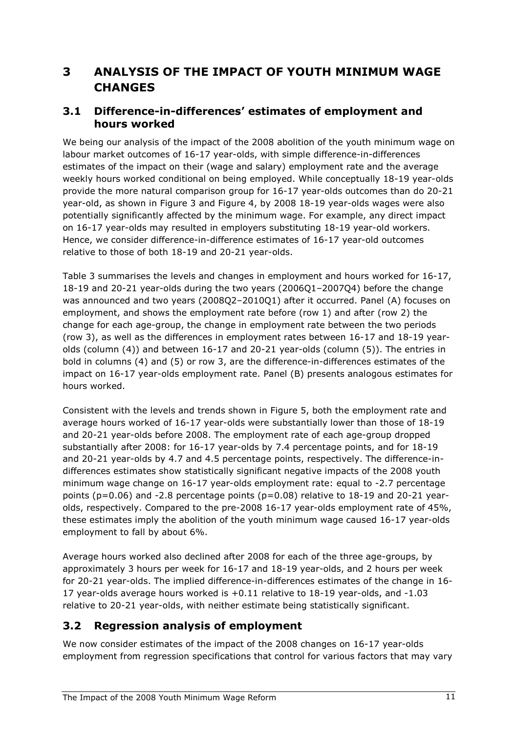# 3 ANALYSIS OF THE IMPACT OF YOUTH MINIMUM WAGE **CHANGES**

#### 3.1 Difference-in-differences' estimates of employment and hours worked

We being our analysis of the impact of the 2008 abolition of the youth minimum wage on labour market outcomes of 16-17 year-olds, with simple difference-in-differences estimates of the impact on their (wage and salary) employment rate and the average weekly hours worked conditional on being employed. While conceptually 18-19 year-olds provide the more natural comparison group for 16-17 year-olds outcomes than do 20-21 year-old, as shown in Figure 3 and Figure 4, by 2008 18-19 year-olds wages were also potentially significantly affected by the minimum wage. For example, any direct impact on 16-17 year-olds may resulted in employers substituting 18-19 year-old workers. Hence, we consider difference-in-difference estimates of 16-17 year-old outcomes relative to those of both 18-19 and 20-21 year-olds.

Table 3 summarises the levels and changes in employment and hours worked for 16-17, 18-19 and 20-21 year-olds during the two years (2006Q1–2007Q4) before the change was announced and two years (2008Q2–2010Q1) after it occurred. Panel (A) focuses on employment, and shows the employment rate before (row 1) and after (row 2) the change for each age-group, the change in employment rate between the two periods (row 3), as well as the differences in employment rates between 16-17 and 18-19 yearolds (column (4)) and between 16-17 and 20-21 year-olds (column (5)). The entries in bold in columns (4) and (5) or row 3, are the difference-in-differences estimates of the impact on 16-17 year-olds employment rate. Panel (B) presents analogous estimates for hours worked.

Consistent with the levels and trends shown in Figure 5, both the employment rate and average hours worked of 16-17 year-olds were substantially lower than those of 18-19 and 20-21 year-olds before 2008. The employment rate of each age-group dropped substantially after 2008: for 16-17 year-olds by 7.4 percentage points, and for 18-19 and 20-21 year-olds by 4.7 and 4.5 percentage points, respectively. The difference-indifferences estimates show statistically significant negative impacts of the 2008 youth minimum wage change on 16-17 year-olds employment rate: equal to -2.7 percentage points (p=0.06) and -2.8 percentage points (p=0.08) relative to 18-19 and 20-21 yearolds, respectively. Compared to the pre-2008 16-17 year-olds employment rate of 45%, these estimates imply the abolition of the youth minimum wage caused 16-17 year-olds employment to fall by about 6%.

Average hours worked also declined after 2008 for each of the three age-groups, by approximately 3 hours per week for 16-17 and 18-19 year-olds, and 2 hours per week for 20-21 year-olds. The implied difference-in-differences estimates of the change in 16- 17 year-olds average hours worked is +0.11 relative to 18-19 year-olds, and -1.03 relative to 20-21 year-olds, with neither estimate being statistically significant.

#### 3.2 Regression analysis of employment

We now consider estimates of the impact of the 2008 changes on 16-17 year-olds employment from regression specifications that control for various factors that may vary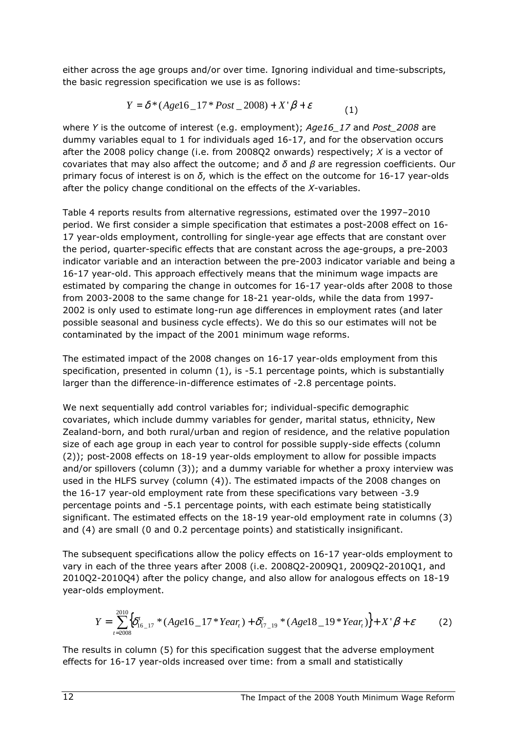either across the age groups and/or over time. Ignoring individual and time-subscripts, the basic regression specification we use is as follows:

$$
Y = \delta^* (Agel6\_17 * Post\_2008) + X'\beta + \varepsilon
$$
 (1)

where Y is the outcome of interest (e.g. employment); Age16\_17 and Post\_2008 are dummy variables equal to 1 for individuals aged 16-17, and for the observation occurs after the 2008 policy change (i.e. from 2008Q2 onwards) respectively;  $X$  is a vector of covariates that may also affect the outcome; and  $\delta$  and  $\beta$  are regression coefficients. Our primary focus of interest is on  $\delta$ , which is the effect on the outcome for 16-17 year-olds after the policy change conditional on the effects of the X-variables.

Table 4 reports results from alternative regressions, estimated over the 1997–2010 period. We first consider a simple specification that estimates a post-2008 effect on 16- 17 year-olds employment, controlling for single-year age effects that are constant over the period, quarter-specific effects that are constant across the age-groups, a pre-2003 indicator variable and an interaction between the pre-2003 indicator variable and being a 16-17 year-old. This approach effectively means that the minimum wage impacts are estimated by comparing the change in outcomes for 16-17 year-olds after 2008 to those from 2003-2008 to the same change for 18-21 year-olds, while the data from 1997- 2002 is only used to estimate long-run age differences in employment rates (and later possible seasonal and business cycle effects). We do this so our estimates will not be contaminated by the impact of the 2001 minimum wage reforms.

The estimated impact of the 2008 changes on 16-17 year-olds employment from this specification, presented in column (1), is -5.1 percentage points, which is substantially larger than the difference-in-difference estimates of -2.8 percentage points.

We next sequentially add control variables for; individual-specific demographic covariates, which include dummy variables for gender, marital status, ethnicity, New Zealand-born, and both rural/urban and region of residence, and the relative population size of each age group in each year to control for possible supply-side effects (column (2)); post-2008 effects on 18-19 year-olds employment to allow for possible impacts and/or spillovers (column (3)); and a dummy variable for whether a proxy interview was used in the HLFS survey (column (4)). The estimated impacts of the 2008 changes on the 16-17 year-old employment rate from these specifications vary between -3.9 percentage points and -5.1 percentage points, with each estimate being statistically significant. The estimated effects on the 18-19 year-old employment rate in columns (3) and (4) are small (0 and 0.2 percentage points) and statistically insignificant.

The subsequent specifications allow the policy effects on 16-17 year-olds employment to vary in each of the three years after 2008 (i.e. 2008Q2-2009Q1, 2009Q2-2010Q1, and 2010Q2-2010Q4) after the policy change, and also allow for analogous effects on 18-19 year-olds employment.

$$
Y = \sum_{t=2008}^{2010} \Big{\delta^t_{16}}_{-17} * (Age16 \_17 * Year_t) + \delta^t_{17}_{-19} * (Age18 \_19 * Year_t) \Big\} + X' \beta + \varepsilon
$$
 (2)

The results in column (5) for this specification suggest that the adverse employment effects for 16-17 year-olds increased over time: from a small and statistically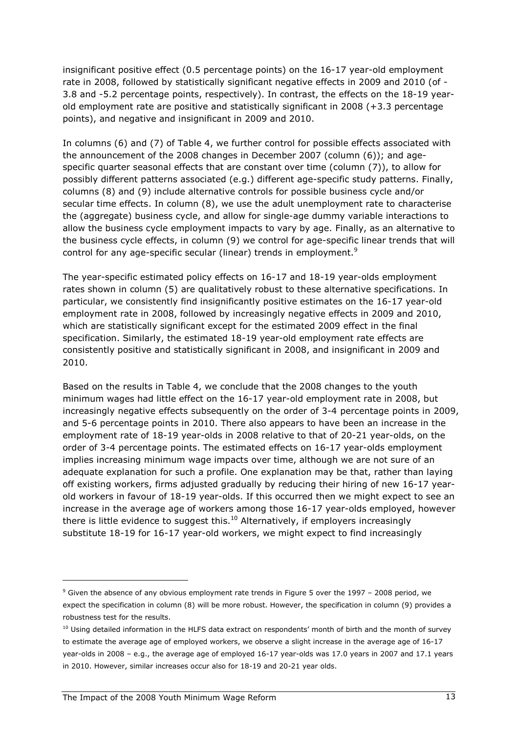insignificant positive effect (0.5 percentage points) on the 16-17 year-old employment rate in 2008, followed by statistically significant negative effects in 2009 and 2010 (of - 3.8 and -5.2 percentage points, respectively). In contrast, the effects on the 18-19 yearold employment rate are positive and statistically significant in 2008 (+3.3 percentage points), and negative and insignificant in 2009 and 2010.

In columns (6) and (7) of Table 4, we further control for possible effects associated with the announcement of the 2008 changes in December 2007 (column (6)); and agespecific quarter seasonal effects that are constant over time (column (7)), to allow for possibly different patterns associated (e.g.) different age-specific study patterns. Finally, columns (8) and (9) include alternative controls for possible business cycle and/or secular time effects. In column (8), we use the adult unemployment rate to characterise the (aggregate) business cycle, and allow for single-age dummy variable interactions to allow the business cycle employment impacts to vary by age. Finally, as an alternative to the business cycle effects, in column (9) we control for age-specific linear trends that will control for any age-specific secular (linear) trends in employment.<sup>9</sup>

The year-specific estimated policy effects on 16-17 and 18-19 year-olds employment rates shown in column (5) are qualitatively robust to these alternative specifications. In particular, we consistently find insignificantly positive estimates on the 16-17 year-old employment rate in 2008, followed by increasingly negative effects in 2009 and 2010, which are statistically significant except for the estimated 2009 effect in the final specification. Similarly, the estimated 18-19 year-old employment rate effects are consistently positive and statistically significant in 2008, and insignificant in 2009 and 2010.

Based on the results in Table 4, we conclude that the 2008 changes to the youth minimum wages had little effect on the 16-17 year-old employment rate in 2008, but increasingly negative effects subsequently on the order of 3-4 percentage points in 2009, and 5-6 percentage points in 2010. There also appears to have been an increase in the employment rate of 18-19 year-olds in 2008 relative to that of 20-21 year-olds, on the order of 3-4 percentage points. The estimated effects on 16-17 year-olds employment implies increasing minimum wage impacts over time, although we are not sure of an adequate explanation for such a profile. One explanation may be that, rather than laying off existing workers, firms adjusted gradually by reducing their hiring of new 16-17 yearold workers in favour of 18-19 year-olds. If this occurred then we might expect to see an increase in the average age of workers among those 16-17 year-olds employed, however there is little evidence to suggest this. $^{10}$  Alternatively, if employers increasingly substitute 18-19 for 16-17 year-old workers, we might expect to find increasingly

<sup>&</sup>lt;sup>9</sup> Given the absence of any obvious employment rate trends in Figure 5 over the 1997 - 2008 period, we expect the specification in column (8) will be more robust. However, the specification in column (9) provides a robustness test for the results.

<sup>&</sup>lt;sup>10</sup> Using detailed information in the HLFS data extract on respondents' month of birth and the month of survey to estimate the average age of employed workers, we observe a slight increase in the average age of 16-17 year-olds in 2008 – e.g., the average age of employed 16-17 year-olds was 17.0 years in 2007 and 17.1 years in 2010. However, similar increases occur also for 18-19 and 20-21 year olds.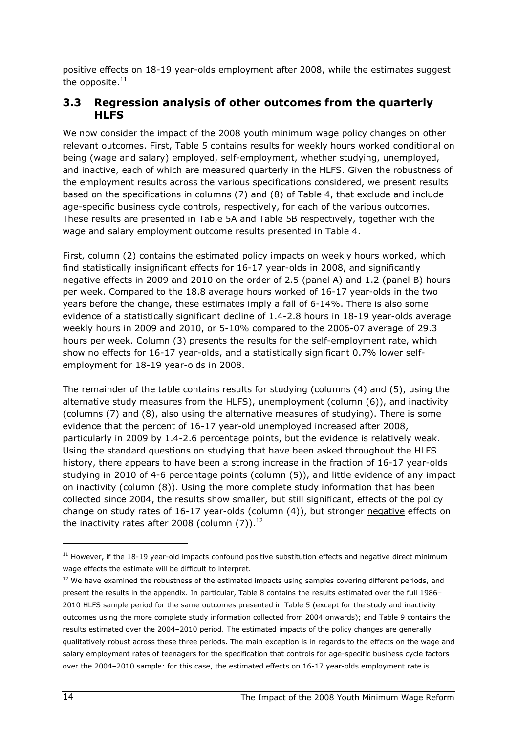positive effects on 18-19 year-olds employment after 2008, while the estimates suggest the opposite. $11$ 

#### 3.3 Regression analysis of other outcomes from the quarterly **HLFS**

We now consider the impact of the 2008 youth minimum wage policy changes on other relevant outcomes. First, Table 5 contains results for weekly hours worked conditional on being (wage and salary) employed, self-employment, whether studying, unemployed, and inactive, each of which are measured quarterly in the HLFS. Given the robustness of the employment results across the various specifications considered, we present results based on the specifications in columns (7) and (8) of Table 4, that exclude and include age-specific business cycle controls, respectively, for each of the various outcomes. These results are presented in Table 5A and Table 5B respectively, together with the wage and salary employment outcome results presented in Table 4.

First, column (2) contains the estimated policy impacts on weekly hours worked, which find statistically insignificant effects for 16-17 year-olds in 2008, and significantly negative effects in 2009 and 2010 on the order of 2.5 (panel A) and 1.2 (panel B) hours per week. Compared to the 18.8 average hours worked of 16-17 year-olds in the two years before the change, these estimates imply a fall of 6-14%. There is also some evidence of a statistically significant decline of 1.4-2.8 hours in 18-19 year-olds average weekly hours in 2009 and 2010, or 5-10% compared to the 2006-07 average of 29.3 hours per week. Column (3) presents the results for the self-employment rate, which show no effects for 16-17 year-olds, and a statistically significant 0.7% lower selfemployment for 18-19 year-olds in 2008.

The remainder of the table contains results for studying (columns (4) and (5), using the alternative study measures from the HLFS), unemployment (column (6)), and inactivity (columns (7) and (8), also using the alternative measures of studying). There is some evidence that the percent of 16-17 year-old unemployed increased after 2008, particularly in 2009 by 1.4-2.6 percentage points, but the evidence is relatively weak. Using the standard questions on studying that have been asked throughout the HLFS history, there appears to have been a strong increase in the fraction of 16-17 year-olds studying in 2010 of 4-6 percentage points (column (5)), and little evidence of any impact on inactivity (column (8)). Using the more complete study information that has been collected since 2004, the results show smaller, but still significant, effects of the policy change on study rates of 16-17 year-olds (column (4)), but stronger negative effects on the inactivity rates after 2008 (column  $(7)$ ).<sup>12</sup>

<sup>&</sup>lt;sup>11</sup> However, if the 18-19 year-old impacts confound positive substitution effects and negative direct minimum wage effects the estimate will be difficult to interpret.

<sup>&</sup>lt;sup>12</sup> We have examined the robustness of the estimated impacts using samples covering different periods, and present the results in the appendix. In particular, Table 8 contains the results estimated over the full 1986– 2010 HLFS sample period for the same outcomes presented in Table 5 (except for the study and inactivity outcomes using the more complete study information collected from 2004 onwards); and Table 9 contains the results estimated over the 2004–2010 period. The estimated impacts of the policy changes are generally qualitatively robust across these three periods. The main exception is in regards to the effects on the wage and salary employment rates of teenagers for the specification that controls for age-specific business cycle factors over the 2004–2010 sample: for this case, the estimated effects on 16-17 year-olds employment rate is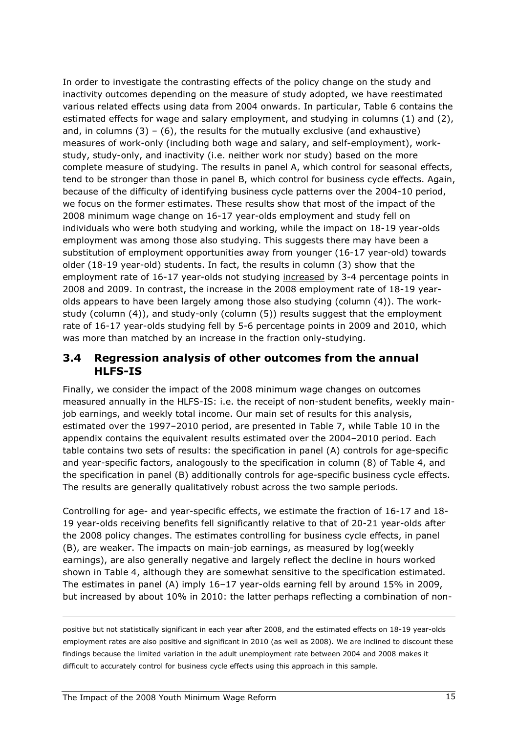In order to investigate the contrasting effects of the policy change on the study and inactivity outcomes depending on the measure of study adopted, we have reestimated various related effects using data from 2004 onwards. In particular, Table 6 contains the estimated effects for wage and salary employment, and studying in columns (1) and (2), and, in columns  $(3) - (6)$ , the results for the mutually exclusive (and exhaustive) measures of work-only (including both wage and salary, and self-employment), workstudy, study-only, and inactivity (i.e. neither work nor study) based on the more complete measure of studying. The results in panel A, which control for seasonal effects, tend to be stronger than those in panel B, which control for business cycle effects. Again, because of the difficulty of identifying business cycle patterns over the 2004-10 period, we focus on the former estimates. These results show that most of the impact of the 2008 minimum wage change on 16-17 year-olds employment and study fell on individuals who were both studying and working, while the impact on 18-19 year-olds employment was among those also studying. This suggests there may have been a substitution of employment opportunities away from younger (16-17 year-old) towards older (18-19 year-old) students. In fact, the results in column (3) show that the employment rate of 16-17 year-olds not studying increased by 3-4 percentage points in 2008 and 2009. In contrast, the increase in the 2008 employment rate of 18-19 yearolds appears to have been largely among those also studying (column (4)). The workstudy (column (4)), and study-only (column (5)) results suggest that the employment rate of 16-17 year-olds studying fell by 5-6 percentage points in 2009 and 2010, which was more than matched by an increase in the fraction only-studying.

#### 3.4 Regression analysis of other outcomes from the annual HLFS-IS

Finally, we consider the impact of the 2008 minimum wage changes on outcomes measured annually in the HLFS-IS: i.e. the receipt of non-student benefits, weekly mainjob earnings, and weekly total income. Our main set of results for this analysis, estimated over the 1997–2010 period, are presented in Table 7, while Table 10 in the appendix contains the equivalent results estimated over the 2004–2010 period. Each table contains two sets of results: the specification in panel (A) controls for age-specific and year-specific factors, analogously to the specification in column (8) of Table 4, and the specification in panel (B) additionally controls for age-specific business cycle effects. The results are generally qualitatively robust across the two sample periods.

Controlling for age- and year-specific effects, we estimate the fraction of 16-17 and 18- 19 year-olds receiving benefits fell significantly relative to that of 20-21 year-olds after the 2008 policy changes. The estimates controlling for business cycle effects, in panel (B), are weaker. The impacts on main-job earnings, as measured by log(weekly earnings), are also generally negative and largely reflect the decline in hours worked shown in Table 4, although they are somewhat sensitive to the specification estimated. The estimates in panel (A) imply 16–17 year-olds earning fell by around 15% in 2009, but increased by about 10% in 2010: the latter perhaps reflecting a combination of non-

positive but not statistically significant in each year after 2008, and the estimated effects on 18-19 year-olds employment rates are also positive and significant in 2010 (as well as 2008). We are inclined to discount these findings because the limited variation in the adult unemployment rate between 2004 and 2008 makes it difficult to accurately control for business cycle effects using this approach in this sample.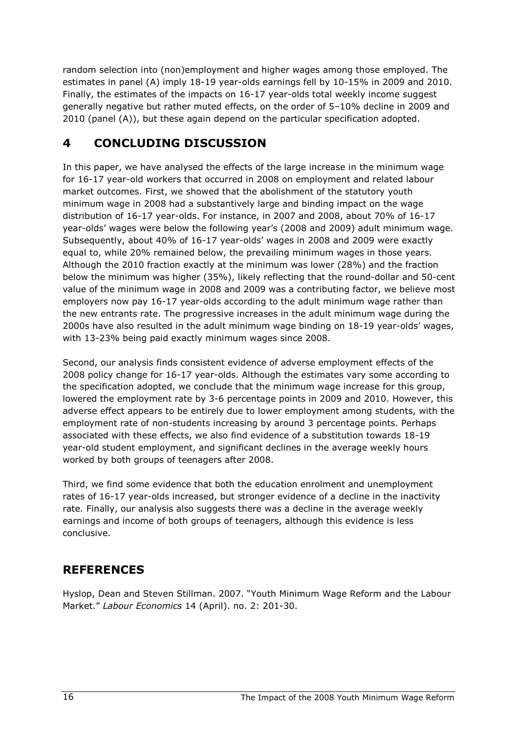random selection into (non)employment and higher wages among those employed. The estimates in panel (A) imply 18-19 year-olds earnings fell by 10-15% in 2009 and 2010. Finally, the estimates of the impacts on 16-17 year-olds total weekly income suggest generally negative but rather muted effects, on the order of 5–10% decline in 2009 and 2010 (panel (A)), but these again depend on the particular specification adopted.

# 4 CONCLUDING DISCUSSION

In this paper, we have analysed the effects of the large increase in the minimum wage for 16-17 year-old workers that occurred in 2008 on employment and related labour market outcomes. First, we showed that the abolishment of the statutory youth minimum wage in 2008 had a substantively large and binding impact on the wage distribution of 16-17 year-olds. For instance, in 2007 and 2008, about 70% of 16-17 year-olds' wages were below the following year's (2008 and 2009) adult minimum wage. Subsequently, about 40% of 16-17 year-olds' wages in 2008 and 2009 were exactly equal to, while 20% remained below, the prevailing minimum wages in those years. Although the 2010 fraction exactly at the minimum was lower (28%) and the fraction below the minimum was higher (35%), likely reflecting that the round-dollar and 50-cent value of the minimum wage in 2008 and 2009 was a contributing factor, we believe most employers now pay 16-17 year-olds according to the adult minimum wage rather than the new entrants rate. The progressive increases in the adult minimum wage during the 2000s have also resulted in the adult minimum wage binding on 18-19 year-olds' wages, with 13-23% being paid exactly minimum wages since 2008.

Second, our analysis finds consistent evidence of adverse employment effects of the 2008 policy change for 16-17 year-olds. Although the estimates vary some according to the specification adopted, we conclude that the minimum wage increase for this group, lowered the employment rate by 3-6 percentage points in 2009 and 2010. However, this adverse effect appears to be entirely due to lower employment among students, with the employment rate of non-students increasing by around 3 percentage points. Perhaps associated with these effects, we also find evidence of a substitution towards 18-19 year-old student employment, and significant declines in the average weekly hours worked by both groups of teenagers after 2008.

Third, we find some evidence that both the education enrolment and unemployment rates of 16-17 year-olds increased, but stronger evidence of a decline in the inactivity rate. Finally, our analysis also suggests there was a decline in the average weekly earnings and income of both groups of teenagers, although this evidence is less conclusive.

# **REFERENCES**

Hyslop, Dean and Steven Stillman. 2007. "Youth Minimum Wage Reform and the Labour Market." Labour Economics 14 (April). no. 2: 201-30.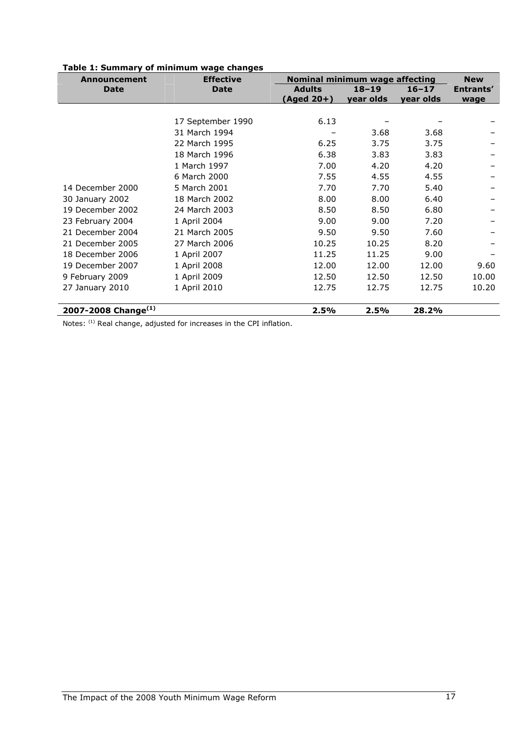| Announcement              | <b>Effective</b>  | Nominal minimum wage affecting |           |           |           |  |  |
|---------------------------|-------------------|--------------------------------|-----------|-----------|-----------|--|--|
| <b>Date</b>               | <b>Date</b>       | <b>Adults</b>                  | $18 - 19$ | $16 - 17$ | Entrants' |  |  |
|                           |                   | (Aged 20+)                     | year olds | year olds | wage      |  |  |
|                           |                   |                                |           |           |           |  |  |
|                           | 17 September 1990 | 6.13                           |           |           |           |  |  |
|                           | 31 March 1994     |                                | 3.68      | 3.68      |           |  |  |
|                           | 22 March 1995     | 6.25                           | 3.75      | 3.75      |           |  |  |
|                           | 18 March 1996     | 6.38                           | 3.83      | 3.83      |           |  |  |
|                           | 1 March 1997      | 7.00                           | 4.20      | 4.20      |           |  |  |
|                           | 6 March 2000      | 7.55                           | 4.55      | 4.55      |           |  |  |
| 14 December 2000          | 5 March 2001      | 7.70                           | 7.70      | 5.40      |           |  |  |
| 30 January 2002           | 18 March 2002     | 8.00                           | 8.00      | 6.40      |           |  |  |
| 19 December 2002          | 24 March 2003     | 8.50                           | 8.50      | 6.80      |           |  |  |
| 23 February 2004          | 1 April 2004      | 9.00                           | 9.00      | 7.20      |           |  |  |
| 21 December 2004          | 21 March 2005     | 9.50                           | 9.50      | 7.60      |           |  |  |
| 21 December 2005          | 27 March 2006     | 10.25                          | 10.25     | 8.20      |           |  |  |
| 18 December 2006          | 1 April 2007      | 11.25                          | 11.25     | 9.00      |           |  |  |
| 19 December 2007          | 1 April 2008      | 12.00                          | 12.00     | 12.00     | 9.60      |  |  |
| 9 February 2009           | 1 April 2009      | 12.50                          | 12.50     | 12.50     | 10.00     |  |  |
| 27 January 2010           | 1 April 2010      | 12.75                          | 12.75     | 12.75     | 10.20     |  |  |
|                           |                   |                                |           |           |           |  |  |
| 2007-2008 Change $^{(1)}$ |                   | 2.5%                           | 2.5%      | 28.2%     |           |  |  |

#### Table 1: Summary of minimum wage changes

Notes: <sup>(1)</sup> Real change, adjusted for increases in the CPI inflation.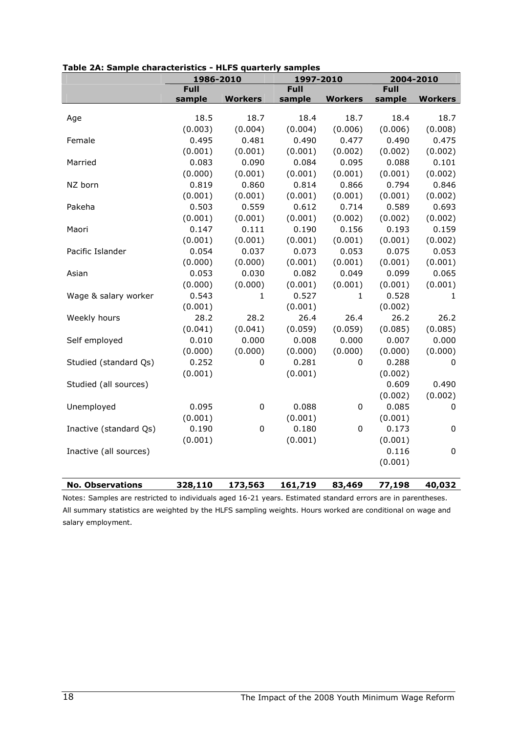|                         | 1986-2010        |                | 1997-2010   |                  |             | 2004-2010      |
|-------------------------|------------------|----------------|-------------|------------------|-------------|----------------|
|                         | <b>Full</b>      |                | <b>Full</b> |                  | <b>Full</b> |                |
|                         | sample           | <b>Workers</b> | sample      | <b>Workers</b>   | sample      | <b>Workers</b> |
|                         | 18.5             |                |             | 18.7             |             |                |
| Age                     |                  | 18.7           | 18.4        |                  | 18.4        | 18.7           |
|                         | (0.003)<br>0.495 | (0.004)        | (0.004)     | (0.006)          | (0.006)     | (0.008)        |
| Female                  |                  | 0.481          | 0.490       | 0.477            | 0.490       | 0.475          |
|                         | (0.001)          | (0.001)        | (0.001)     | (0.002)          | (0.002)     | (0.002)        |
| Married                 | 0.083            | 0.090          | 0.084       | 0.095            | 0.088       | 0.101          |
|                         | (0.000)          | (0.001)        | (0.001)     | (0.001)          | (0.001)     | (0.002)        |
| NZ born                 | 0.819            | 0.860          | 0.814       | 0.866            | 0.794       | 0.846          |
|                         | (0.001)          | (0.001)        | (0.001)     | (0.001)          | (0.001)     | (0.002)        |
| Pakeha                  | 0.503            | 0.559          | 0.612       | 0.714            | 0.589       | 0.693          |
|                         | (0.001)          | (0.001)        | (0.001)     | (0.002)          | (0.002)     | (0.002)        |
| Maori                   | 0.147            | 0.111          | 0.190       | 0.156            | 0.193       | 0.159          |
|                         | (0.001)          | (0.001)        | (0.001)     | (0.001)          | (0.001)     | (0.002)        |
| Pacific Islander        | 0.054            | 0.037          | 0.073       | 0.053            | 0.075       | 0.053          |
|                         | (0.000)          | (0.000)        | (0.001)     | (0.001)          | (0.001)     | (0.001)        |
| Asian                   | 0.053            | 0.030          | 0.082       | 0.049            | 0.099       | 0.065          |
|                         | (0.000)          | (0.000)        | (0.001)     | (0.001)          | (0.001)     | (0.001)        |
| Wage & salary worker    | 0.543            | 1              | 0.527       | 1                | 0.528       | 1              |
|                         | (0.001)          |                | (0.001)     |                  | (0.002)     |                |
| Weekly hours            | 28.2             | 28.2           | 26.4        | 26.4             | 26.2        | 26.2           |
|                         | (0.041)          | (0.041)        | (0.059)     | (0.059)          | (0.085)     | (0.085)        |
| Self employed           | 0.010            | 0.000          | 0.008       | 0.000            | 0.007       | 0.000          |
|                         | (0.000)          | (0.000)        | (0.000)     | (0.000)          | (0.000)     | (0.000)        |
| Studied (standard Qs)   | 0.252            | 0              | 0.281       | 0                | 0.288       | 0              |
|                         | (0.001)          |                | (0.001)     |                  | (0.002)     |                |
| Studied (all sources)   |                  |                |             |                  | 0.609       | 0.490          |
|                         |                  |                |             |                  | (0.002)     | (0.002)        |
| Unemployed              | 0.095            | $\mathbf 0$    | 0.088       | $\boldsymbol{0}$ | 0.085       | 0              |
|                         | (0.001)          |                | (0.001)     |                  | (0.001)     |                |
| Inactive (standard Qs)  | 0.190            | $\mathbf 0$    | 0.180       | 0                | 0.173       | $\mathsf 0$    |
|                         | (0.001)          |                | (0.001)     |                  | (0.001)     |                |
| Inactive (all sources)  |                  |                |             |                  | 0.116       | $\pmb{0}$      |
|                         |                  |                |             |                  | (0.001)     |                |
|                         |                  |                |             |                  |             |                |
| <b>No. Observations</b> | 328,110          | 173,563        | 161,719     | 83,469           | 77,198      | 40,032         |

Table 2A: Sample characteristics - HLFS quarterly samples

Notes: Samples are restricted to individuals aged 16-21 years. Estimated standard errors are in parentheses. All summary statistics are weighted by the HLFS sampling weights. Hours worked are conditional on wage and salary employment.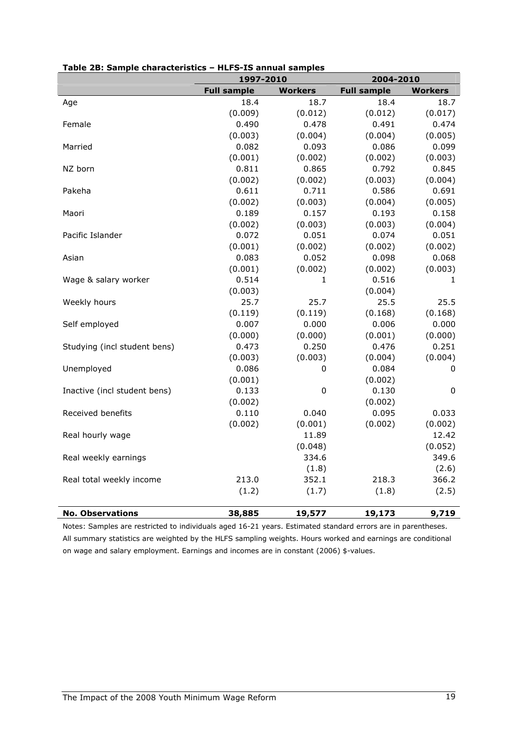|                              | 1997-2010          |                | 2004-2010          |                |  |  |
|------------------------------|--------------------|----------------|--------------------|----------------|--|--|
|                              | <b>Full sample</b> | <b>Workers</b> | <b>Full sample</b> | <b>Workers</b> |  |  |
| Age                          | 18.4               | 18.7           | 18.4               | 18.7           |  |  |
|                              | (0.009)            | (0.012)        | (0.012)            | (0.017)        |  |  |
| Female                       | 0.490              | 0.478          | 0.491              | 0.474          |  |  |
|                              | (0.003)            | (0.004)        | (0.004)            | (0.005)        |  |  |
| Married                      | 0.082              | 0.093          | 0.086              | 0.099          |  |  |
|                              | (0.001)            | (0.002)        | (0.002)            | (0.003)        |  |  |
| NZ born                      | 0.811              | 0.865          | 0.792              | 0.845          |  |  |
|                              | (0.002)            | (0.002)        | (0.003)            | (0.004)        |  |  |
| Pakeha                       | 0.611              | 0.711          | 0.586              | 0.691          |  |  |
|                              | (0.002)            | (0.003)        | (0.004)            | (0.005)        |  |  |
| Maori                        | 0.189              | 0.157          | 0.193              | 0.158          |  |  |
|                              | (0.002)            | (0.003)        | (0.003)            | (0.004)        |  |  |
| Pacific Islander             | 0.072              | 0.051          | 0.074              | 0.051          |  |  |
|                              | (0.001)            | (0.002)        | (0.002)            | (0.002)        |  |  |
| Asian                        | 0.083              | 0.052          | 0.098              | 0.068          |  |  |
|                              | (0.001)            | (0.002)        | (0.002)            | (0.003)        |  |  |
| Wage & salary worker         | 0.514              | $\mathbf{1}$   | 0.516              | 1              |  |  |
|                              | (0.003)            |                | (0.004)            |                |  |  |
| Weekly hours                 | 25.7               | 25.7           | 25.5               | 25.5           |  |  |
|                              | (0.119)            | (0.119)        | (0.168)            | (0.168)        |  |  |
| Self employed                | 0.007              | 0.000          | 0.006              | 0.000          |  |  |
|                              | (0.000)            | (0.000)        | (0.001)            | (0.000)        |  |  |
| Studying (incl student bens) | 0.473              | 0.250          | 0.476              | 0.251          |  |  |
|                              | (0.003)            | (0.003)        | (0.004)            | (0.004)        |  |  |
| Unemployed                   | 0.086              | 0              | 0.084              | 0              |  |  |
|                              | (0.001)            |                | (0.002)            |                |  |  |
| Inactive (incl student bens) | 0.133              | $\pmb{0}$      | 0.130              | $\pmb{0}$      |  |  |
|                              | (0.002)            |                | (0.002)            |                |  |  |
| Received benefits            | 0.110              | 0.040          | 0.095              | 0.033          |  |  |
|                              | (0.002)            | (0.001)        | (0.002)            | (0.002)        |  |  |
| Real hourly wage             |                    | 11.89          |                    | 12.42          |  |  |
|                              |                    | (0.048)        |                    | (0.052)        |  |  |
| Real weekly earnings         |                    | 334.6          |                    | 349.6          |  |  |
|                              |                    | (1.8)          |                    | (2.6)          |  |  |
| Real total weekly income     | 213.0              | 352.1          | 218.3              | 366.2          |  |  |
|                              | (1.2)              | (1.7)          | (1.8)              | (2.5)          |  |  |
| <b>No. Observations</b>      | 38,885             | 19,577         | 19,173             | 9,719          |  |  |

#### Table 2B: Sample characteristics – HLFS-IS annual samples

Notes: Samples are restricted to individuals aged 16-21 years. Estimated standard errors are in parentheses. All summary statistics are weighted by the HLFS sampling weights. Hours worked and earnings are conditional on wage and salary employment. Earnings and incomes are in constant (2006) \$-values.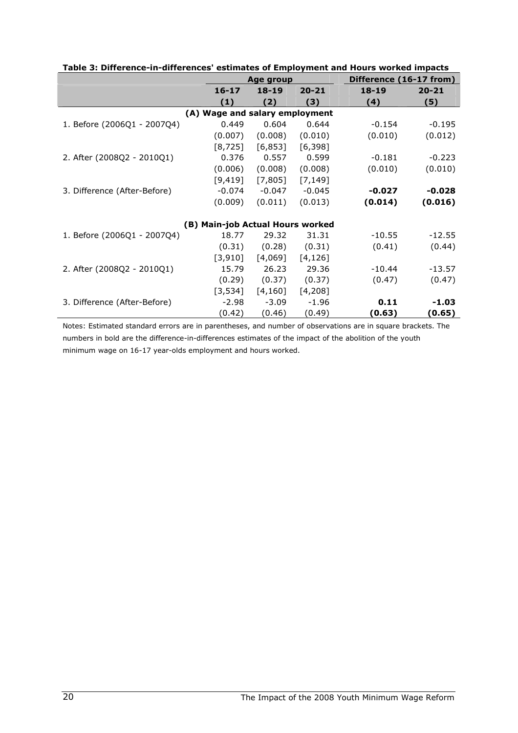|                              | Age group                        |           |           | Difference (16-17 from) |           |
|------------------------------|----------------------------------|-----------|-----------|-------------------------|-----------|
|                              | $16 - 17$                        | $18 - 19$ | $20 - 21$ | $18 - 19$               | $20 - 21$ |
|                              | (1)                              | (2)       | (3)       | (4)                     | (5)       |
|                              | (A) Wage and salary employment   |           |           |                         |           |
| 1. Before (2006Q1 - 2007Q4)  | 0.449                            | 0.604     | 0.644     | $-0.154$                | $-0.195$  |
|                              | (0.007)                          | (0.008)   | (0.010)   | (0.010)                 | (0.012)   |
|                              | [8, 725]                         | [6,853]   | [6, 398]  |                         |           |
| 2. After (2008Q2 - 2010Q1)   | 0.376                            | 0.557     | 0.599     | $-0.181$                | $-0.223$  |
|                              | (0.006)                          | (0.008)   | (0.008)   | (0.010)                 | (0.010)   |
|                              | [9, 419]                         | [7,805]   | [7, 149]  |                         |           |
| 3. Difference (After-Before) | $-0.074$                         | $-0.047$  | $-0.045$  | $-0.027$                | $-0.028$  |
|                              | (0.009)                          | (0.011)   | (0.013)   | (0.014)                 | (0.016)   |
|                              |                                  |           |           |                         |           |
|                              | (B) Main-job Actual Hours worked |           |           |                         |           |
| 1. Before (2006Q1 - 2007Q4)  | 18.77                            | 29.32     | 31.31     | $-10.55$                | $-12.55$  |
|                              | (0.31)                           | (0.28)    | (0.31)    | (0.41)                  | (0.44)    |
|                              | [3,910]                          | [4,069]   | [4, 126]  |                         |           |
| 2. After (2008Q2 - 2010Q1)   | 15.79                            | 26.23     | 29.36     | $-10.44$                | $-13.57$  |
|                              | (0.29)                           | (0.37)    | (0.37)    | (0.47)                  | (0.47)    |
|                              | [3,534]                          | [4,160]   | [4,208]   |                         |           |
| 3. Difference (After-Before) | $-2.98$                          | $-3.09$   | $-1.96$   | 0.11                    | -1.03     |
|                              | (0.42)                           | (0.46)    | (0.49)    | (0.63)                  | (0.65)    |

Table 3: Difference-in-differences' estimates of Employment and Hours worked impacts

Notes: Estimated standard errors are in parentheses, and number of observations are in square brackets. The numbers in bold are the difference-in-differences estimates of the impact of the abolition of the youth minimum wage on 16-17 year-olds employment and hours worked.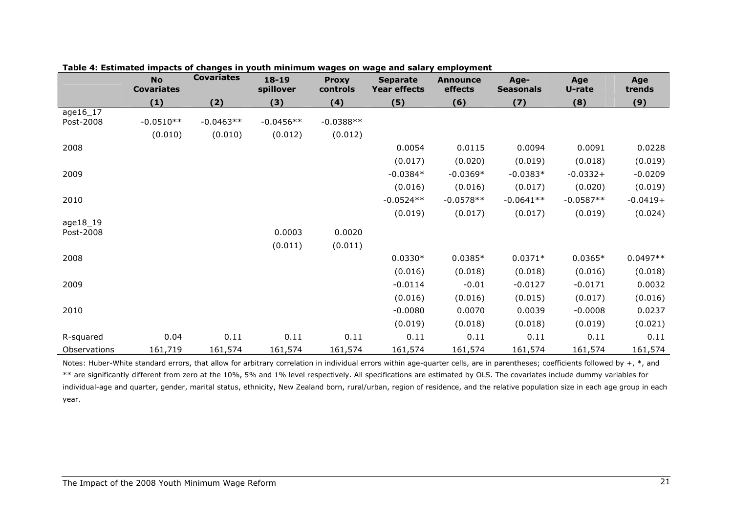|              | <b>No</b><br><b>Covariates</b> | <b>Covariates</b> | $18 - 19$<br>spillover | <b>Proxy</b><br>controls | <b>Separate</b><br><b>Year effects</b> | <b>Announce</b><br>effects | Age-<br><b>Seasonals</b> | Age<br>U-rate | Age<br>trends |
|--------------|--------------------------------|-------------------|------------------------|--------------------------|----------------------------------------|----------------------------|--------------------------|---------------|---------------|
|              | (1)                            | (2)               | (3)                    | (4)                      | (5)                                    | (6)                        | (7)                      | (8)           | (9)           |
| age16_17     |                                |                   |                        |                          |                                        |                            |                          |               |               |
| Post-2008    | $-0.0510**$                    | $-0.0463**$       | $-0.0456**$            | $-0.0388**$              |                                        |                            |                          |               |               |
|              | (0.010)                        | (0.010)           | (0.012)                | (0.012)                  |                                        |                            |                          |               |               |
| 2008         |                                |                   |                        |                          | 0.0054                                 | 0.0115                     | 0.0094                   | 0.0091        | 0.0228        |
|              |                                |                   |                        |                          | (0.017)                                | (0.020)                    | (0.019)                  | (0.018)       | (0.019)       |
| 2009         |                                |                   |                        |                          | $-0.0384*$                             | $-0.0369*$                 | $-0.0383*$               | $-0.0332+$    | $-0.0209$     |
|              |                                |                   |                        |                          | (0.016)                                | (0.016)                    | (0.017)                  | (0.020)       | (0.019)       |
| 2010         |                                |                   |                        |                          | $-0.0524**$                            | $-0.0578**$                | $-0.0641**$              | $-0.0587**$   | $-0.0419+$    |
|              |                                |                   |                        |                          | (0.019)                                | (0.017)                    | (0.017)                  | (0.019)       | (0.024)       |
| age18_19     |                                |                   |                        |                          |                                        |                            |                          |               |               |
| Post-2008    |                                |                   | 0.0003                 | 0.0020                   |                                        |                            |                          |               |               |
|              |                                |                   | (0.011)                | (0.011)                  |                                        |                            |                          |               |               |
| 2008         |                                |                   |                        |                          | $0.0330*$                              | $0.0385*$                  | $0.0371*$                | $0.0365*$     | $0.0497**$    |
|              |                                |                   |                        |                          | (0.016)                                | (0.018)                    | (0.018)                  | (0.016)       | (0.018)       |
| 2009         |                                |                   |                        |                          | $-0.0114$                              | $-0.01$                    | $-0.0127$                | $-0.0171$     | 0.0032        |
|              |                                |                   |                        |                          | (0.016)                                | (0.016)                    | (0.015)                  | (0.017)       | (0.016)       |
| 2010         |                                |                   |                        |                          | $-0.0080$                              | 0.0070                     | 0.0039                   | $-0.0008$     | 0.0237        |
|              |                                |                   |                        |                          | (0.019)                                | (0.018)                    | (0.018)                  | (0.019)       | (0.021)       |
| R-squared    | 0.04                           | 0.11              | 0.11                   | 0.11                     | 0.11                                   | 0.11                       | 0.11                     | 0.11          | 0.11          |
| Observations | 161,719                        | 161,574           | 161,574                | 161,574                  | 161,574                                | 161,574                    | 161,574                  | 161,574       | 161,574       |

Table 4: Estimated impacts of changes in youth minimum wages on wage and salary employment

Notes: Huber-White standard errors, that allow for arbitrary correlation in individual errors within age-quarter cells, are in parentheses; coefficients followed by +,  $*$ , and \*\* are significantly different from zero at the 10%, 5% and 1% level respectively. All specifications are estimated by OLS. The covariates include dummy variables for individual-age and quarter, gender, marital status, ethnicity, New Zealand born, rural/urban, region of residence, and the relative population size in each age group in each year.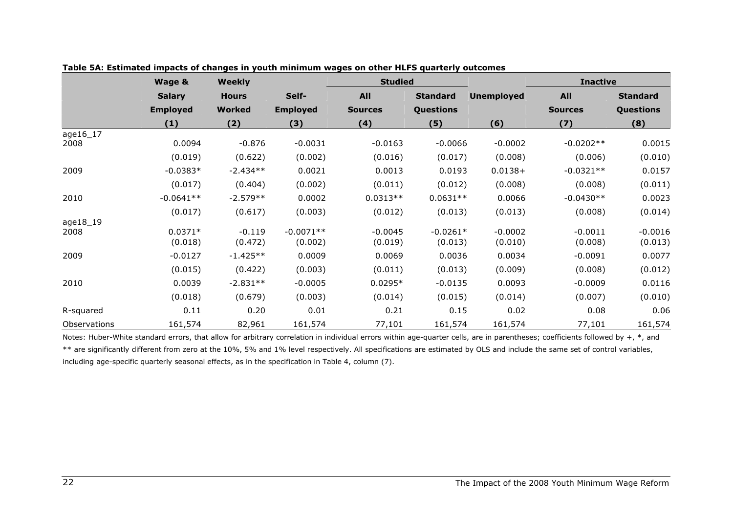|              | Wage &          | <b>Weekly</b> |                 | <b>Studied</b> |                 |                   | <b>Inactive</b> |                  |
|--------------|-----------------|---------------|-----------------|----------------|-----------------|-------------------|-----------------|------------------|
|              | <b>Salary</b>   | <b>Hours</b>  | Self-           | <b>All</b>     | <b>Standard</b> | <b>Unemployed</b> | <b>All</b>      | <b>Standard</b>  |
|              | <b>Employed</b> | <b>Worked</b> | <b>Employed</b> | <b>Sources</b> | Questions       |                   | <b>Sources</b>  | <b>Questions</b> |
|              | (1)             | (2)           | (3)             | (4)            | (5)             | (6)               | (7)             | (8)              |
| age16_17     |                 |               |                 |                |                 |                   |                 |                  |
| 2008         | 0.0094          | $-0.876$      | $-0.0031$       | $-0.0163$      | $-0.0066$       | $-0.0002$         | $-0.0202**$     | 0.0015           |
|              | (0.019)         | (0.622)       | (0.002)         | (0.016)        | (0.017)         | (0.008)           | (0.006)         | (0.010)          |
| 2009         | $-0.0383*$      | $-2.434**$    | 0.0021          | 0.0013         | 0.0193          | $0.0138 +$        | $-0.0321**$     | 0.0157           |
|              | (0.017)         | (0.404)       | (0.002)         | (0.011)        | (0.012)         | (0.008)           | (0.008)         | (0.011)          |
| 2010         | $-0.0641**$     | $-2.579**$    | 0.0002          | $0.0313**$     | $0.0631**$      | 0.0066            | $-0.0430**$     | 0.0023           |
|              | (0.017)         | (0.617)       | (0.003)         | (0.012)        | (0.013)         | (0.013)           | (0.008)         | (0.014)          |
| age18_19     |                 |               |                 |                |                 |                   |                 |                  |
| 2008         | $0.0371*$       | $-0.119$      | $-0.0071**$     | $-0.0045$      | $-0.0261*$      | $-0.0002$         | $-0.0011$       | $-0.0016$        |
|              | (0.018)         | (0.472)       | (0.002)         | (0.019)        | (0.013)         | (0.010)           | (0.008)         | (0.013)          |
| 2009         | $-0.0127$       | $-1.425**$    | 0.0009          | 0.0069         | 0.0036          | 0.0034            | $-0.0091$       | 0.0077           |
|              | (0.015)         | (0.422)       | (0.003)         | (0.011)        | (0.013)         | (0.009)           | (0.008)         | (0.012)          |
| 2010         | 0.0039          | $-2.831**$    | $-0.0005$       | $0.0295*$      | $-0.0135$       | 0.0093            | $-0.0009$       | 0.0116           |
|              | (0.018)         | (0.679)       | (0.003)         | (0.014)        | (0.015)         | (0.014)           | (0.007)         | (0.010)          |
| R-squared    | 0.11            | 0.20          | 0.01            | 0.21           | 0.15            | 0.02              | 0.08            | 0.06             |
| Observations | 161,574         | 82,961        | 161,574         | 77,101         | 161,574         | 161,574           | 77,101          | 161,574          |

Notes: Huber-White standard errors, that allow for arbitrary correlation in individual errors within age-quarter cells, are in parentheses; coefficients followed by +, \*, and \*\* are significantly different from zero at the 10%, 5% and 1% level respectively. All specifications are estimated by OLS and include the same set of control variables, including age-specific quarterly seasonal effects, as in the specification in Table 4, column (7).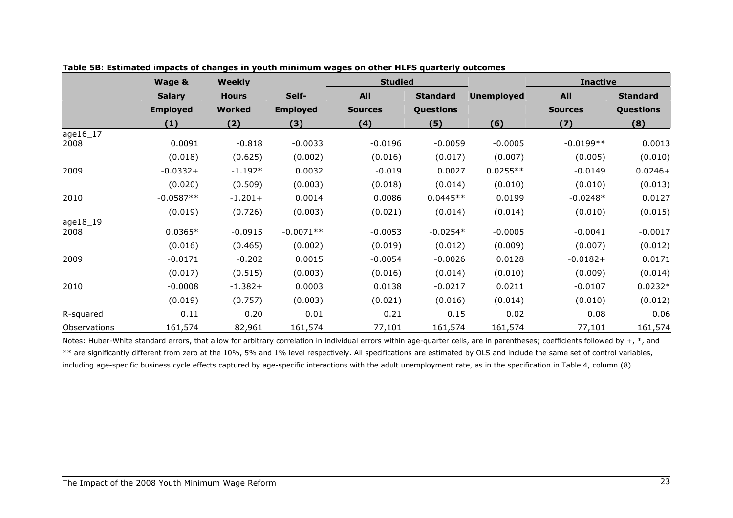|              | Wage &          | <b>Weekly</b> |                 | <b>Studied</b> |                 |                   | <b>Inactive</b> |                  |
|--------------|-----------------|---------------|-----------------|----------------|-----------------|-------------------|-----------------|------------------|
|              | <b>Salary</b>   | <b>Hours</b>  | Self-           | <b>All</b>     | <b>Standard</b> | <b>Unemployed</b> | <b>All</b>      | <b>Standard</b>  |
|              | <b>Employed</b> | <b>Worked</b> | <b>Employed</b> | <b>Sources</b> | Questions       |                   | <b>Sources</b>  | <b>Questions</b> |
|              | (1)             | (2)           | (3)             | (4)            | (5)             | (6)               | (7)             | (8)              |
| age16_17     |                 |               |                 |                |                 |                   |                 |                  |
| 2008         | 0.0091          | $-0.818$      | $-0.0033$       | $-0.0196$      | $-0.0059$       | $-0.0005$         | $-0.0199**$     | 0.0013           |
|              | (0.018)         | (0.625)       | (0.002)         | (0.016)        | (0.017)         | (0.007)           | (0.005)         | (0.010)          |
| 2009         | $-0.0332+$      | $-1.192*$     | 0.0032          | $-0.019$       | 0.0027          | $0.0255**$        | $-0.0149$       | $0.0246+$        |
|              | (0.020)         | (0.509)       | (0.003)         | (0.018)        | (0.014)         | (0.010)           | (0.010)         | (0.013)          |
| 2010         | $-0.0587**$     | $-1.201+$     | 0.0014          | 0.0086         | $0.0445**$      | 0.0199            | $-0.0248*$      | 0.0127           |
|              | (0.019)         | (0.726)       | (0.003)         | (0.021)        | (0.014)         | (0.014)           | (0.010)         | (0.015)          |
| age18_19     |                 |               |                 |                |                 |                   |                 |                  |
| 2008         | $0.0365*$       | $-0.0915$     | $-0.0071**$     | $-0.0053$      | $-0.0254*$      | $-0.0005$         | $-0.0041$       | $-0.0017$        |
|              | (0.016)         | (0.465)       | (0.002)         | (0.019)        | (0.012)         | (0.009)           | (0.007)         | (0.012)          |
| 2009         | $-0.0171$       | $-0.202$      | 0.0015          | $-0.0054$      | $-0.0026$       | 0.0128            | $-0.0182+$      | 0.0171           |
|              | (0.017)         | (0.515)       | (0.003)         | (0.016)        | (0.014)         | (0.010)           | (0.009)         | (0.014)          |
| 2010         | $-0.0008$       | $-1.382+$     | 0.0003          | 0.0138         | $-0.0217$       | 0.0211            | $-0.0107$       | $0.0232*$        |
|              | (0.019)         | (0.757)       | (0.003)         | (0.021)        | (0.016)         | (0.014)           | (0.010)         | (0.012)          |
| R-squared    | 0.11            | 0.20          | 0.01            | 0.21           | 0.15            | 0.02              | 0.08            | 0.06             |
| Observations | 161,574         | 82,961        | 161,574         | 77,101         | 161,574         | 161,574           | 77,101          | 161,574          |

Notes: Huber-White standard errors, that allow for arbitrary correlation in individual errors within age-quarter cells, are in parentheses; coefficients followed by  $+$ ,  $*$ , and \*\* are significantly different from zero at the 10%, 5% and 1% level respectively. All specifications are estimated by OLS and include the same set of control variables, including age-specific business cycle effects captured by age-specific interactions with the adult unemployment rate, as in the specification in Table 4, column (8).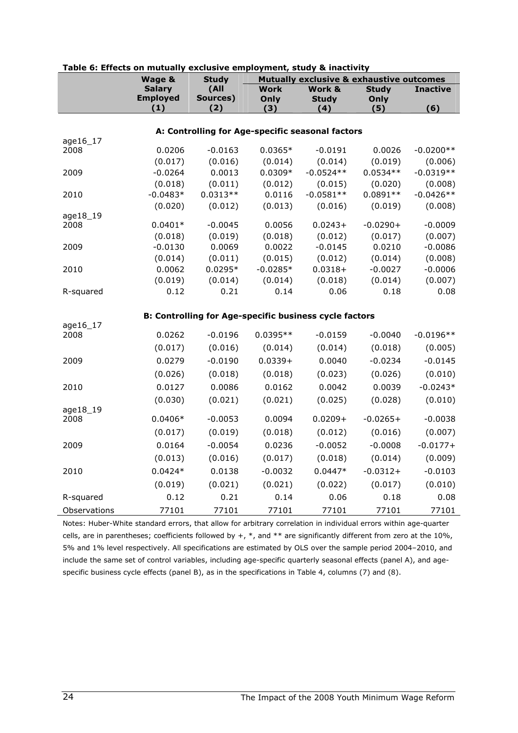|              | Wage &               | <b>Study</b>                                                  |                   |                      |                   | <b>Mutually exclusive &amp; exhaustive outcomes</b> |  |  |
|--------------|----------------------|---------------------------------------------------------------|-------------------|----------------------|-------------------|-----------------------------------------------------|--|--|
|              | <b>Salary</b>        | (All                                                          | <b>Work</b>       | Work &               | <b>Study</b>      | <b>Inactive</b>                                     |  |  |
|              | <b>Employed</b>      | Sources)                                                      | Only              | <b>Study</b>         | Only              |                                                     |  |  |
|              | (1)                  | (2)                                                           | (3)               | (4)                  | (5)               | (6)                                                 |  |  |
|              |                      |                                                               |                   |                      |                   |                                                     |  |  |
| age16_17     |                      | A: Controlling for Age-specific seasonal factors              |                   |                      |                   |                                                     |  |  |
| 2008         | 0.0206               | $-0.0163$                                                     | $0.0365*$         | $-0.0191$            | 0.0026            | $-0.0200**$                                         |  |  |
|              | (0.017)              | (0.016)                                                       | (0.014)           | (0.014)              | (0.019)           | (0.006)                                             |  |  |
| 2009         | $-0.0264$            | 0.0013                                                        | $0.0309*$         | $-0.0524**$          | $0.0534**$        | $-0.0319**$                                         |  |  |
|              | (0.018)              | (0.011)                                                       | (0.012)           | (0.015)              | (0.020)           | (0.008)                                             |  |  |
| 2010         | $-0.0483*$           | $0.0313**$                                                    | 0.0116            | $-0.0581**$          | $0.0891**$        | $-0.0426**$                                         |  |  |
|              | (0.020)              | (0.012)                                                       | (0.013)           | (0.016)              | (0.019)           | (0.008)                                             |  |  |
| age18_19     |                      |                                                               |                   |                      |                   |                                                     |  |  |
| 2008         | $0.0401*$            | $-0.0045$                                                     | 0.0056            | $0.0243+$            | $-0.0290+$        | $-0.0009$                                           |  |  |
| 2009         | (0.018)<br>$-0.0130$ | (0.019)<br>0.0069                                             | (0.018)<br>0.0022 | (0.012)<br>$-0.0145$ | (0.017)<br>0.0210 | (0.007)<br>$-0.0086$                                |  |  |
|              | (0.014)              | (0.011)                                                       | (0.015)           | (0.012)              | (0.014)           | (0.008)                                             |  |  |
| 2010         | 0.0062               | $0.0295*$                                                     | $-0.0285*$        | $0.0318 +$           | $-0.0027$         | $-0.0006$                                           |  |  |
|              | (0.019)              | (0.014)                                                       | (0.014)           | (0.018)              | (0.014)           | (0.007)                                             |  |  |
| R-squared    | 0.12                 | 0.21                                                          | 0.14              | 0.06                 | 0.18              | 0.08                                                |  |  |
|              |                      |                                                               |                   |                      |                   |                                                     |  |  |
|              |                      | <b>B: Controlling for Age-specific business cycle factors</b> |                   |                      |                   |                                                     |  |  |
| age16_17     |                      |                                                               |                   |                      |                   |                                                     |  |  |
| 2008         | 0.0262               | $-0.0196$                                                     | $0.0395**$        | $-0.0159$            | $-0.0040$         | $-0.0196**$                                         |  |  |
|              | (0.017)              | (0.016)                                                       | (0.014)           | (0.014)              | (0.018)           | (0.005)                                             |  |  |
| 2009         | 0.0279               | $-0.0190$                                                     | $0.0339+$         | 0.0040               | $-0.0234$         | $-0.0145$                                           |  |  |
|              | (0.026)              | (0.018)                                                       | (0.018)           | (0.023)              | (0.026)           | (0.010)                                             |  |  |
| 2010         | 0.0127               | 0.0086                                                        | 0.0162            | 0.0042               | 0.0039            | $-0.0243*$                                          |  |  |
|              | (0.030)              | (0.021)                                                       | (0.021)           | (0.025)              | (0.028)           | (0.010)                                             |  |  |
| age18_19     |                      |                                                               |                   |                      |                   |                                                     |  |  |
| 2008         | $0.0406*$            | $-0.0053$                                                     | 0.0094            | $0.0209 +$           | $-0.0265+$        | $-0.0038$                                           |  |  |
|              | (0.017)              | (0.019)                                                       | (0.018)           | (0.012)              | (0.016)           | (0.007)                                             |  |  |
| 2009         | 0.0164               | $-0.0054$                                                     | 0.0236            | $-0.0052$            | $-0.0008$         | $-0.0177+$                                          |  |  |
|              | (0.013)              | (0.016)                                                       | (0.017)           | (0.018)              | (0.014)           | (0.009)                                             |  |  |
| 2010         | $0.0424*$            | 0.0138                                                        | $-0.0032$         | $0.0447*$            | $-0.0312+$        | $-0.0103$                                           |  |  |
|              | (0.019)              | (0.021)                                                       | (0.021)           | (0.022)              | (0.017)           | (0.010)                                             |  |  |
| R-squared    | 0.12                 | 0.21                                                          | 0.14              | 0.06                 | 0.18              | 0.08                                                |  |  |
| Observations | 77101                | 77101                                                         | 77101             | 77101                | 77101             | 77101                                               |  |  |

#### Table 6: Effects on mutually exclusive employment, study & inactivity

Notes: Huber-White standard errors, that allow for arbitrary correlation in individual errors within age-quarter cells, are in parentheses; coefficients followed by  $+$ ,  $*$ , and  $**$  are significantly different from zero at the 10%, 5% and 1% level respectively. All specifications are estimated by OLS over the sample period 2004–2010, and include the same set of control variables, including age-specific quarterly seasonal effects (panel A), and agespecific business cycle effects (panel B), as in the specifications in Table 4, columns (7) and (8).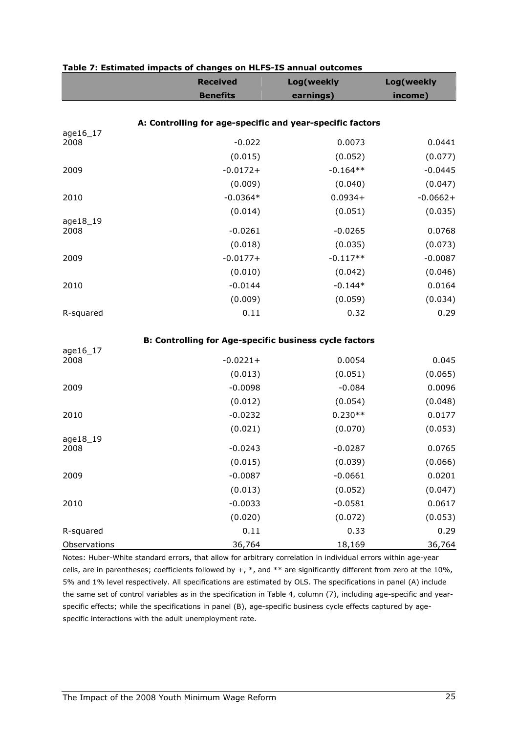|                  | <b>Received</b>                                               | Log(weekly | Log(weekly |
|------------------|---------------------------------------------------------------|------------|------------|
|                  | <b>Benefits</b>                                               | earnings)  | income)    |
|                  |                                                               |            |            |
| age16_17         | A: Controlling for age-specific and year-specific factors     |            |            |
| 2008             | $-0.022$                                                      | 0.0073     | 0.0441     |
|                  | (0.015)                                                       | (0.052)    | (0.077)    |
| 2009             | $-0.0172+$                                                    | $-0.164**$ | $-0.0445$  |
|                  | (0.009)                                                       | (0.040)    | (0.047)    |
| 2010             | $-0.0364*$                                                    | $0.0934+$  | $-0.0662+$ |
|                  | (0.014)                                                       | (0.051)    | (0.035)    |
| age18_19<br>2008 | $-0.0261$                                                     | $-0.0265$  | 0.0768     |
|                  | (0.018)                                                       | (0.035)    | (0.073)    |
| 2009             | $-0.0177+$                                                    | $-0.117**$ | $-0.0087$  |
|                  | (0.010)                                                       | (0.042)    | (0.046)    |
| 2010             | $-0.0144$                                                     | $-0.144*$  | 0.0164     |
|                  | (0.009)                                                       | (0.059)    | (0.034)    |
| R-squared        | 0.11                                                          | 0.32       | 0.29       |
|                  | <b>B: Controlling for Age-specific business cycle factors</b> |            |            |
| age16_17         |                                                               |            |            |
| 2008             | $-0.0221+$                                                    | 0.0054     | 0.045      |
|                  | (0.013)                                                       | (0.051)    | (0.065)    |
| 2009             | $-0.0098$                                                     | $-0.084$   | 0.0096     |
|                  | (0.012)                                                       | (0.054)    | (0.048)    |
| 2010             | $-0.0232$                                                     | $0.230**$  | 0.0177     |
|                  | (0.021)                                                       | (0.070)    | (0.053)    |
| age18_19<br>2008 | $-0.0243$                                                     | $-0.0287$  | 0.0765     |
|                  | (0.015)                                                       | (0.039)    | (0.066)    |
| 2009             | $-0.0087$                                                     | $-0.0661$  | 0.0201     |
|                  | (0.013)                                                       | (0.052)    | (0.047)    |
| 2010             | $-0.0033$                                                     | $-0.0581$  | 0.0617     |
|                  | (0.020)                                                       | (0.072)    | (0.053)    |
| R-squared        | 0.11                                                          | 0.33       | 0.29       |
| Observations     | 36,764                                                        | 18,169     | 36,764     |

#### Table 7: Estimated impacts of changes on HLFS-IS annual outcomes

Notes: Huber-White standard errors, that allow for arbitrary correlation in individual errors within age-year cells, are in parentheses; coefficients followed by  $+$ ,  $*$ , and  $**$  are significantly different from zero at the 10%, 5% and 1% level respectively. All specifications are estimated by OLS. The specifications in panel (A) include the same set of control variables as in the specification in Table 4, column (7), including age-specific and yearspecific effects; while the specifications in panel (B), age-specific business cycle effects captured by agespecific interactions with the adult unemployment rate.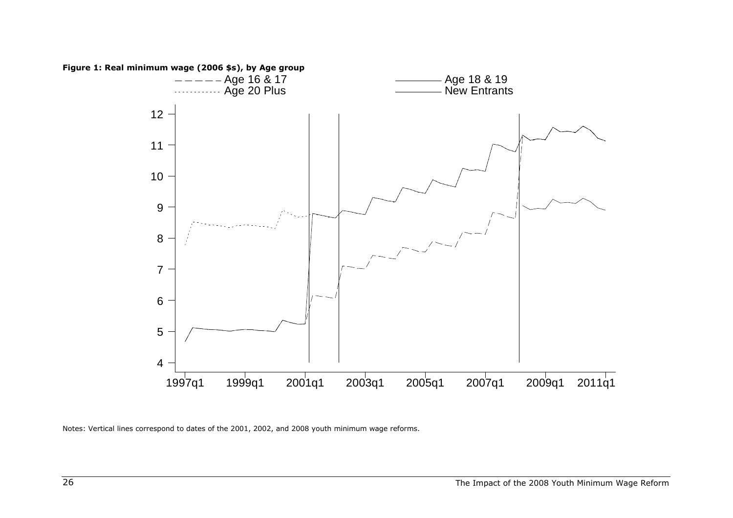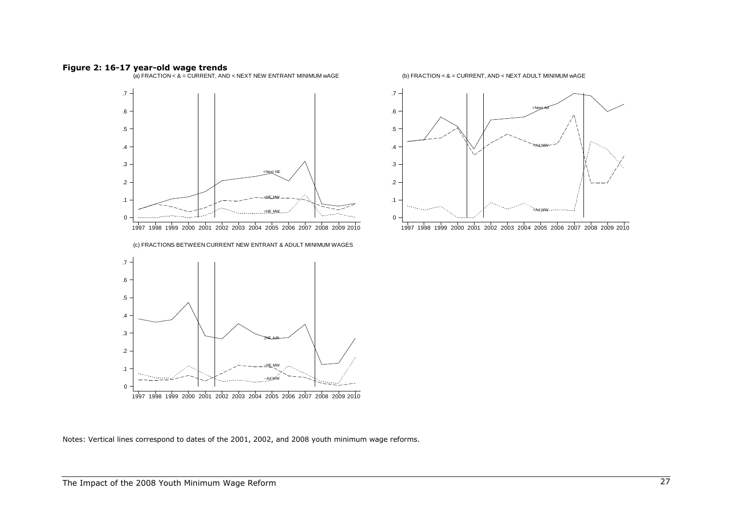Figure 2: 16-17 year-old wage trends (a) FRACTION < & = CURRENT, AND < NEXT NEW ENTRANT MINIMUM wAGE



1997 <sup>1998</sup> <sup>1999</sup> <sup>2000</sup> <sup>2001</sup> <sup>2002</sup> <sup>2003</sup> <sup>2004</sup> <sup>2005</sup> <sup>2006</sup> <sup>2007</sup> <sup>2008</sup> <sup>2009</sup> <sup>2010</sup>

(c) FRACTIONS BETWEEN CURRENT NEW ENTRANT & ADULT MINIMUM WAGES



(b) FRACTION < & = CURRENT, AND < NEXT ADULT MINIMUM wAGE



<sup>1997</sup> <sup>1998</sup> <sup>1999</sup> <sup>2000</sup> <sup>2001</sup> <sup>2002</sup> <sup>2003</sup> <sup>2004</sup> <sup>2005</sup> <sup>2006</sup> <sup>2007</sup> <sup>2008</sup> <sup>2009</sup> <sup>2010</sup>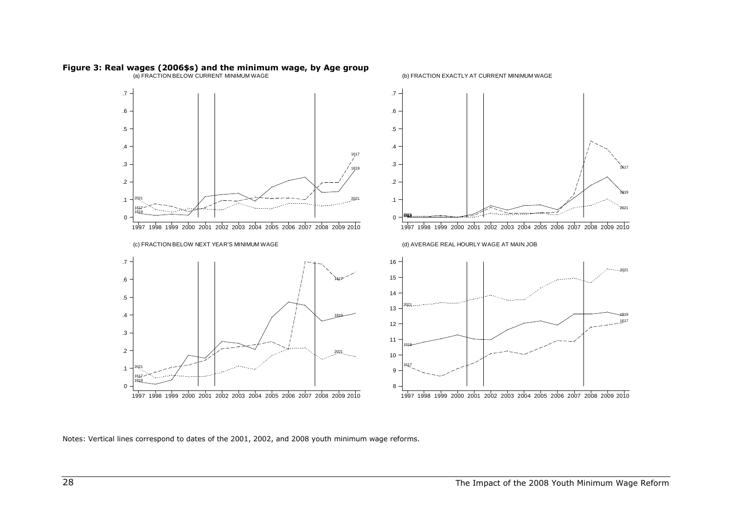

# Figure 3: Real wages (2006\$s) and the minimum wage, by Age group (a) FRACTION BELOW CURRENT MINIMUM WAGE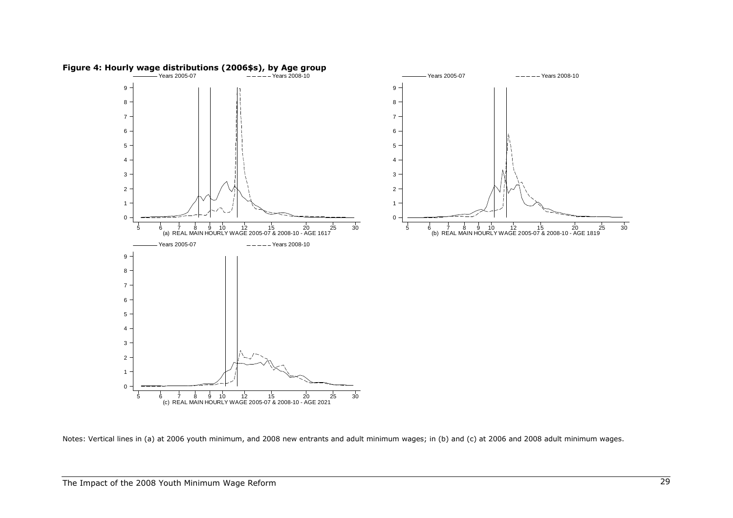

Notes: Vertical lines in (a) at 2006 youth minimum, and 2008 new entrants and adult minimum wages; in (b) and (c) at 2006 and 2008 adult minimum wages.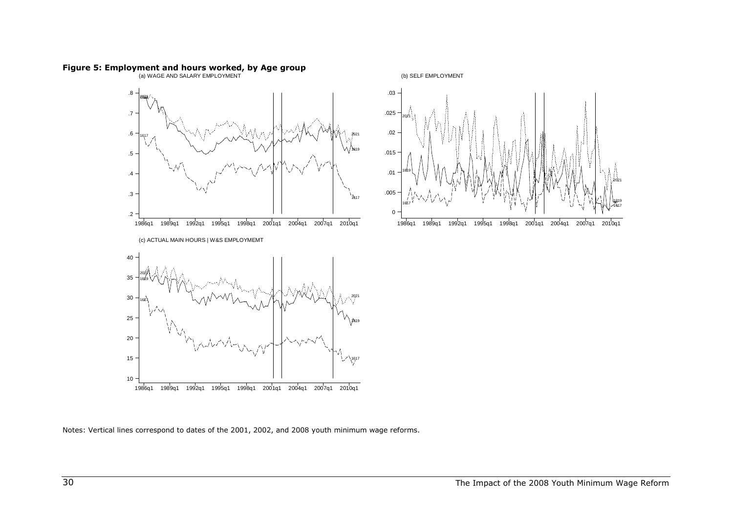

# Figure 5: Employment and hours worked, by Age group (a) WAGE AND SALARY EMPLOYMENT

Notes: Vertical lines correspond to dates of the 2001, 2002, and 2008 youth minimum wage reforms.

1989q1 1992q1 1995q1 1998q1 2001q1 2004q1 2007q1 2010q1

.

1617

2021

– ... .1819

(b) SELF EMPLOYMENT

. . .

1986q1

1617

1819

2021.

0

.005

.01

.015

.02

.025

.03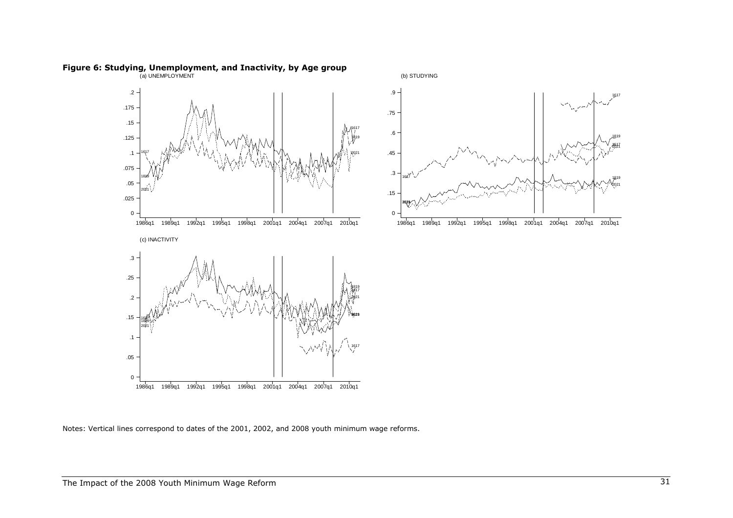

Figure 6: Studying, Unemployment, and Inactivity, by Age group<br>(a) UNEMPLOYMENT

Notes: Vertical lines correspond to dates of the 2001, 2002, and 2008 youth minimum wage reforms.

.1617

2021

.1819

1617

.1819

2021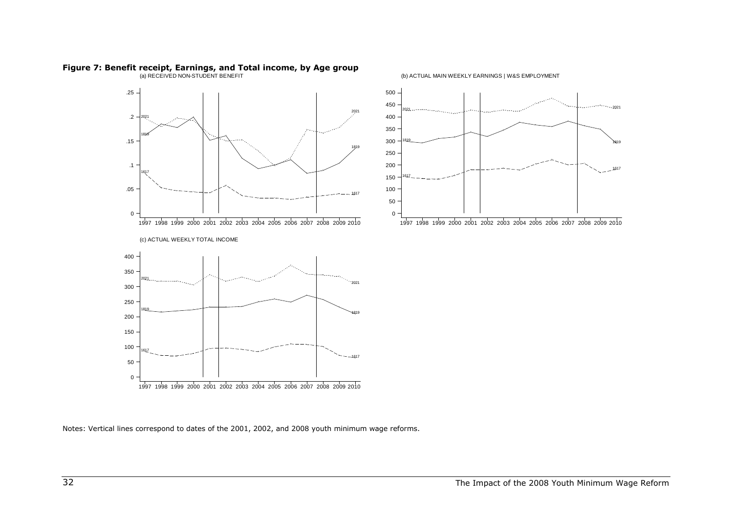

# Figure 7: Benefit receipt, Earnings, and Total income, by Age group (a) RECEIVED NON-STUDENT BENEFIT

(b) ACTUAL MAIN WEEKLY EARNINGS | W&S EMPLOYMENT

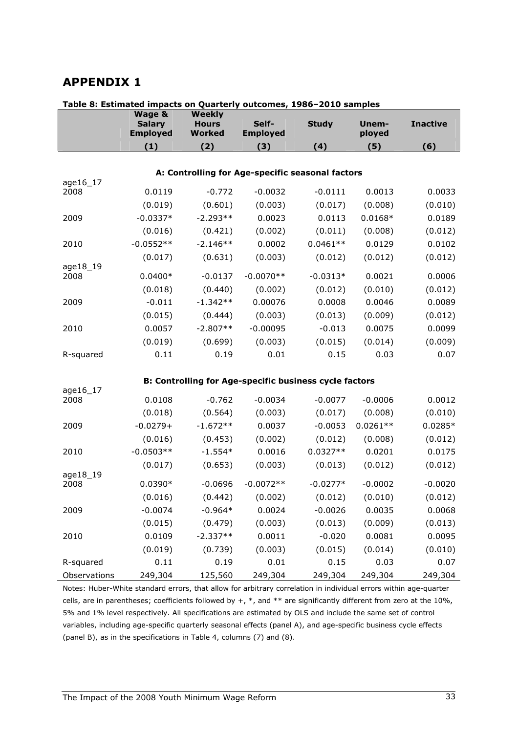### APPENDIX 1

| Table 8: Estimated impacts on Quarterly outcomes, 1986–2010 samples |                                            |                                                |                          |                                                               |                 |                 |  |  |
|---------------------------------------------------------------------|--------------------------------------------|------------------------------------------------|--------------------------|---------------------------------------------------------------|-----------------|-----------------|--|--|
|                                                                     | Wage &<br><b>Salary</b><br><b>Employed</b> | <b>Weekly</b><br><b>Hours</b><br><b>Worked</b> | Self-<br><b>Employed</b> | <b>Study</b>                                                  | Unem-<br>ployed | <b>Inactive</b> |  |  |
|                                                                     | (1)                                        | (2)                                            | (3)                      | (4)                                                           | (5)             | (6)             |  |  |
|                                                                     |                                            |                                                |                          |                                                               |                 |                 |  |  |
|                                                                     |                                            |                                                |                          | A: Controlling for Age-specific seasonal factors              |                 |                 |  |  |
| age16_17                                                            |                                            |                                                |                          |                                                               |                 |                 |  |  |
| 2008                                                                | 0.0119                                     | $-0.772$                                       | $-0.0032$                | $-0.0111$                                                     | 0.0013          | 0.0033          |  |  |
|                                                                     | (0.019)                                    | (0.601)                                        | (0.003)                  | (0.017)                                                       | (0.008)         | (0.010)         |  |  |
| 2009                                                                | $-0.0337*$                                 | $-2.293**$                                     | 0.0023                   | 0.0113                                                        | $0.0168*$       | 0.0189          |  |  |
|                                                                     | (0.016)                                    | (0.421)                                        | (0.002)                  | (0.011)                                                       | (0.008)         | (0.012)         |  |  |
| 2010                                                                | $-0.0552**$                                | $-2.146**$                                     | 0.0002                   | $0.0461**$                                                    | 0.0129          | 0.0102          |  |  |
|                                                                     | (0.017)                                    | (0.631)                                        | (0.003)                  | (0.012)                                                       | (0.012)         | (0.012)         |  |  |
| age18_19<br>2008                                                    | $0.0400*$                                  | $-0.0137$                                      | $-0.0070**$              | $-0.0313*$                                                    | 0.0021          | 0.0006          |  |  |
|                                                                     | (0.018)                                    | (0.440)                                        | (0.002)                  | (0.012)                                                       | (0.010)         | (0.012)         |  |  |
| 2009                                                                | $-0.011$                                   | $-1.342**$                                     | 0.00076                  | 0.0008                                                        | 0.0046          | 0.0089          |  |  |
|                                                                     | (0.015)                                    | (0.444)                                        | (0.003)                  | (0.013)                                                       | (0.009)         | (0.012)         |  |  |
| 2010                                                                | 0.0057                                     | $-2.807**$                                     | $-0.00095$               | $-0.013$                                                      | 0.0075          | 0.0099          |  |  |
|                                                                     | (0.019)                                    | (0.699)                                        | (0.003)                  | (0.015)                                                       | (0.014)         | (0.009)         |  |  |
| R-squared                                                           | 0.11                                       | 0.19                                           | 0.01                     | 0.15                                                          | 0.03            | 0.07            |  |  |
|                                                                     |                                            |                                                |                          |                                                               |                 |                 |  |  |
|                                                                     |                                            |                                                |                          | <b>B: Controlling for Age-specific business cycle factors</b> |                 |                 |  |  |
| age16_17<br>2008                                                    | 0.0108                                     | $-0.762$                                       | $-0.0034$                | $-0.0077$                                                     | $-0.0006$       | 0.0012          |  |  |
|                                                                     | (0.018)                                    | (0.564)                                        | (0.003)                  | (0.017)                                                       | (0.008)         | (0.010)         |  |  |
| 2009                                                                | $-0.0279+$                                 | $-1.672**$                                     | 0.0037                   | $-0.0053$                                                     | $0.0261**$      | $0.0285*$       |  |  |
|                                                                     | (0.016)                                    | (0.453)                                        | (0.002)                  | (0.012)                                                       | (0.008)         | (0.012)         |  |  |
| 2010                                                                | $-0.0503**$                                | $-1.554*$                                      | 0.0016                   | $0.0327**$                                                    | 0.0201          | 0.0175          |  |  |
|                                                                     | (0.017)                                    | (0.653)                                        | (0.003)                  | (0.013)                                                       | (0.012)         | (0.012)         |  |  |
| age18_19                                                            |                                            |                                                |                          |                                                               |                 |                 |  |  |
| 2008                                                                | $0.0390*$                                  | $-0.0696$                                      | $-0.0072**$              | $-0.0277*$                                                    | $-0.0002$       | $-0.0020$       |  |  |
|                                                                     | (0.016)                                    | (0.442)                                        | (0.002)                  | (0.012)                                                       | (0.010)         | (0.012)         |  |  |
| 2009                                                                | $-0.0074$                                  | $-0.964*$                                      | 0.0024                   | $-0.0026$                                                     | 0.0035          | 0.0068          |  |  |
|                                                                     | (0.015)                                    | (0.479)                                        | (0.003)                  | (0.013)                                                       | (0.009)         | (0.013)         |  |  |
| 2010                                                                | 0.0109                                     | $-2.337**$                                     | 0.0011                   | $-0.020$                                                      | 0.0081          | 0.0095          |  |  |
|                                                                     | (0.019)                                    | (0.739)                                        | (0.003)                  | (0.015)                                                       | (0.014)         | (0.010)         |  |  |
| R-squared                                                           | 0.11                                       | 0.19                                           | 0.01                     | 0.15                                                          | 0.03            | 0.07            |  |  |
| Observations                                                        | 249,304                                    | 125,560                                        | 249,304                  | 249,304                                                       | 249,304         | 249,304         |  |  |

Notes: Huber-White standard errors, that allow for arbitrary correlation in individual errors within age-quarter cells, are in parentheses; coefficients followed by  $+$ ,  $*$ , and  $**$  are significantly different from zero at the 10%, 5% and 1% level respectively. All specifications are estimated by OLS and include the same set of control variables, including age-specific quarterly seasonal effects (panel A), and age-specific business cycle effects (panel B), as in the specifications in Table 4, columns (7) and (8).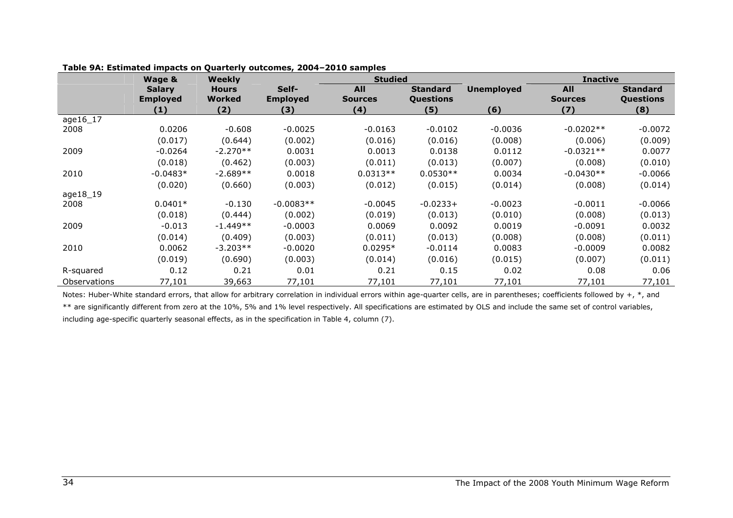|                     | Wage &                           | <b>Weekly</b>          |                          | <b>Studied</b>               |                              |                   | <b>Inactive</b>              |                                     |
|---------------------|----------------------------------|------------------------|--------------------------|------------------------------|------------------------------|-------------------|------------------------------|-------------------------------------|
|                     | <b>Salary</b><br><b>Employed</b> | <b>Hours</b><br>Worked | Self-<br><b>Employed</b> | <b>All</b><br><b>Sources</b> | <b>Standard</b><br>Questions | <b>Unemployed</b> | <b>All</b><br><b>Sources</b> | <b>Standard</b><br><b>Questions</b> |
|                     | (1)                              | (2)                    | (3)                      | (4)                          | (5)                          | (6)               | (7)                          | (8)                                 |
| age16_17            |                                  |                        |                          |                              |                              |                   |                              |                                     |
| 2008                | 0.0206                           | $-0.608$               | $-0.0025$                | $-0.0163$                    | $-0.0102$                    | $-0.0036$         | $-0.0202**$                  | $-0.0072$                           |
|                     | (0.017)                          | (0.644)                | (0.002)                  | (0.016)                      | (0.016)                      | (0.008)           | (0.006)                      | (0.009)                             |
| 2009                | $-0.0264$                        | $-2.270**$             | 0.0031                   | 0.0013                       | 0.0138                       | 0.0112            | $-0.0321**$                  | 0.0077                              |
|                     | (0.018)                          | (0.462)                | (0.003)                  | (0.011)                      | (0.013)                      | (0.007)           | (0.008)                      | (0.010)                             |
| 2010                | $-0.0483*$                       | $-2.689**$             | 0.0018                   | $0.0313**$                   | $0.0530**$                   | 0.0034            | $-0.0430**$                  | $-0.0066$                           |
|                     | (0.020)                          | (0.660)                | (0.003)                  | (0.012)                      | (0.015)                      | (0.014)           | (0.008)                      | (0.014)                             |
| age18_19            |                                  |                        |                          |                              |                              |                   |                              |                                     |
| 2008                | $0.0401*$                        | $-0.130$               | $-0.0083**$              | $-0.0045$                    | $-0.0233+$                   | $-0.0023$         | $-0.0011$                    | $-0.0066$                           |
|                     | (0.018)                          | (0.444)                | (0.002)                  | (0.019)                      | (0.013)                      | (0.010)           | (0.008)                      | (0.013)                             |
| 2009                | $-0.013$                         | $-1.449**$             | $-0.0003$                | 0.0069                       | 0.0092                       | 0.0019            | $-0.0091$                    | 0.0032                              |
|                     | (0.014)                          | (0.409)                | (0.003)                  | (0.011)                      | (0.013)                      | (0.008)           | (0.008)                      | (0.011)                             |
| 2010                | 0.0062                           | $-3.203**$             | $-0.0020$                | $0.0295*$                    | $-0.0114$                    | 0.0083            | $-0.0009$                    | 0.0082                              |
|                     | (0.019)                          | (0.690)                | (0.003)                  | (0.014)                      | (0.016)                      | (0.015)           | (0.007)                      | (0.011)                             |
| R-squared           | 0.12                             | 0.21                   | 0.01                     | 0.21                         | 0.15                         | 0.02              | 0.08                         | 0.06                                |
| <b>Observations</b> | 77,101                           | 39,663                 | 77,101                   | 77,101                       | 77,101                       | 77,101            | 77,101                       | 77,101                              |

| Table 9A: Estimated impacts on Quarterly outcomes, 2004-2010 samples |  |  |  |
|----------------------------------------------------------------------|--|--|--|
|----------------------------------------------------------------------|--|--|--|

Notes: Huber-White standard errors, that allow for arbitrary correlation in individual errors within age-quarter cells, are in parentheses; coefficients followed by  $+$ ,  $*$ , and \*\* are significantly different from zero at the 10%, 5% and 1% level respectively. All specifications are estimated by OLS and include the same set of control variables, including age-specific quarterly seasonal effects, as in the specification in Table 4, column (7).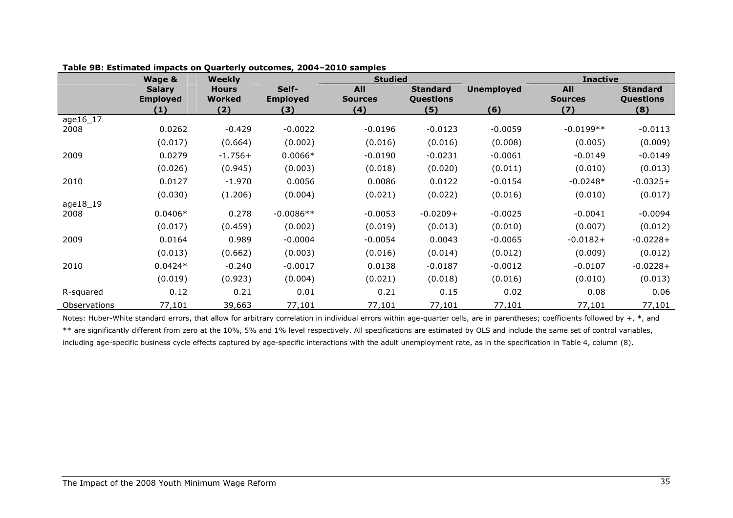|              | Wage &                           | <b>Weekly</b>          |                          | <b>Studied</b>               |                              |                   | <b>Inactive</b>              |                              |
|--------------|----------------------------------|------------------------|--------------------------|------------------------------|------------------------------|-------------------|------------------------------|------------------------------|
|              | <b>Salary</b><br><b>Employed</b> | <b>Hours</b><br>Worked | Self-<br><b>Employed</b> | <b>All</b><br><b>Sources</b> | <b>Standard</b><br>Questions | <b>Unemployed</b> | <b>All</b><br><b>Sources</b> | <b>Standard</b><br>Questions |
|              | (1)                              | (2)                    | (3)                      | (4)                          | (5)                          | (6)               | (7)                          | (8)                          |
| age16_17     |                                  |                        |                          |                              |                              |                   |                              |                              |
| 2008         | 0.0262                           | $-0.429$               | $-0.0022$                | $-0.0196$                    | $-0.0123$                    | $-0.0059$         | $-0.0199**$                  | $-0.0113$                    |
|              | (0.017)                          | (0.664)                | (0.002)                  | (0.016)                      | (0.016)                      | (0.008)           | (0.005)                      | (0.009)                      |
| 2009         | 0.0279                           | $-1.756+$              | $0.0066*$                | $-0.0190$                    | $-0.0231$                    | $-0.0061$         | $-0.0149$                    | $-0.0149$                    |
|              | (0.026)                          | (0.945)                | (0.003)                  | (0.018)                      | (0.020)                      | (0.011)           | (0.010)                      | (0.013)                      |
| 2010         | 0.0127                           | $-1.970$               | 0.0056                   | 0.0086                       | 0.0122                       | $-0.0154$         | $-0.0248*$                   | $-0.0325+$                   |
|              | (0.030)                          | (1.206)                | (0.004)                  | (0.021)                      | (0.022)                      | (0.016)           | (0.010)                      | (0.017)                      |
| age18_19     |                                  |                        |                          |                              |                              |                   |                              |                              |
| 2008         | $0.0406*$                        | 0.278                  | $-0.0086**$              | $-0.0053$                    | $-0.0209+$                   | $-0.0025$         | $-0.0041$                    | $-0.0094$                    |
|              | (0.017)                          | (0.459)                | (0.002)                  | (0.019)                      | (0.013)                      | (0.010)           | (0.007)                      | (0.012)                      |
| 2009         | 0.0164                           | 0.989                  | $-0.0004$                | $-0.0054$                    | 0.0043                       | $-0.0065$         | $-0.0182+$                   | $-0.0228+$                   |
|              | (0.013)                          | (0.662)                | (0.003)                  | (0.016)                      | (0.014)                      | (0.012)           | (0.009)                      | (0.012)                      |
| 2010         | $0.0424*$                        | $-0.240$               | $-0.0017$                | 0.0138                       | $-0.0187$                    | $-0.0012$         | $-0.0107$                    | $-0.0228+$                   |
|              | (0.019)                          | (0.923)                | (0.004)                  | (0.021)                      | (0.018)                      | (0.016)           | (0.010)                      | (0.013)                      |
| R-squared    | 0.12                             | 0.21                   | 0.01                     | 0.21                         | 0.15                         | 0.02              | 0.08                         | 0.06                         |
| Observations | 77,101                           | 39,663                 | 77,101                   | 77,101                       | 77,101                       | 77,101            | 77,101                       | 77,101                       |

#### Table 9B: Estimated impacts on Quarterly outcomes, 2004–2010 samples

Notes: Huber-White standard errors, that allow for arbitrary correlation in individual errors within age-quarter cells, are in parentheses; coefficients followed by +,  $*$ , and \*\* are significantly different from zero at the 10%, 5% and 1% level respectively. All specifications are estimated by OLS and include the same set of control variables, including age-specific business cycle effects captured by age-specific interactions with the adult unemployment rate, as in the specification in Table 4, column (8).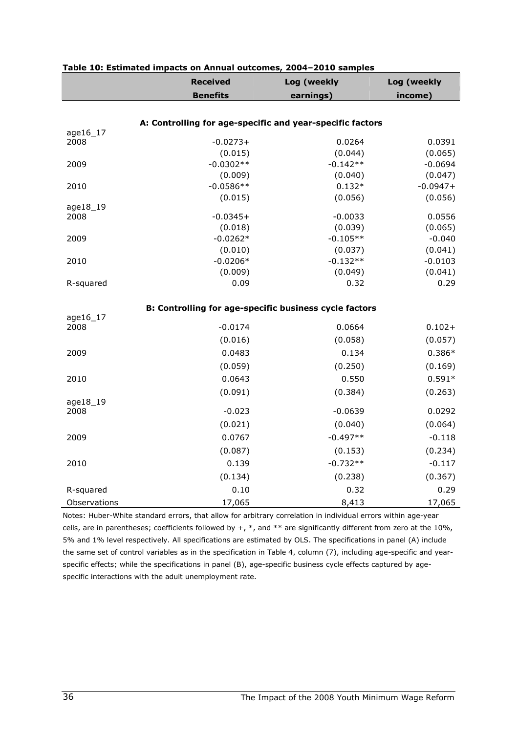|              | <b>Received</b><br><b>Benefits</b>                            | Log (weekly     | Log (weekly<br>income) |
|--------------|---------------------------------------------------------------|-----------------|------------------------|
|              |                                                               | earnings)       |                        |
|              |                                                               |                 |                        |
| age16_17     | A: Controlling for age-specific and year-specific factors     |                 |                        |
| 2008         | $-0.0273+$                                                    | 0.0264          | 0.0391                 |
|              | (0.015)                                                       | (0.044)         | (0.065)                |
| 2009         | $-0.0302**$                                                   | $-0.142**$      | $-0.0694$              |
|              | (0.009)                                                       | (0.040)         | (0.047)                |
| 2010         | $-0.0586**$                                                   | $0.132*$        | $-0.0947+$             |
|              | (0.015)                                                       | (0.056)         | (0.056)                |
| age18_19     |                                                               |                 |                        |
| 2008         | $-0.0345+$                                                    | $-0.0033$       | 0.0556                 |
|              | (0.018)                                                       | (0.039)         | (0.065)                |
| 2009         | $-0.0262*$                                                    | $-0.105**$      | $-0.040$               |
|              | (0.010)                                                       | (0.037)         | (0.041)                |
| 2010         | $-0.0206*$<br>(0.009)                                         | $-0.132**$      | $-0.0103$<br>(0.041)   |
| R-squared    | 0.09                                                          | (0.049)<br>0.32 | 0.29                   |
|              |                                                               |                 |                        |
|              | <b>B: Controlling for age-specific business cycle factors</b> |                 |                        |
| age16_17     |                                                               |                 |                        |
| 2008         | $-0.0174$                                                     | 0.0664          | $0.102 +$              |
|              | (0.016)                                                       | (0.058)         | (0.057)                |
| 2009         | 0.0483                                                        | 0.134           | $0.386*$               |
|              | (0.059)                                                       | (0.250)         | (0.169)                |
| 2010         | 0.0643                                                        | 0.550           | $0.591*$               |
|              |                                                               |                 |                        |
| age18_19     | (0.091)                                                       | (0.384)         | (0.263)                |
| 2008         | $-0.023$                                                      | $-0.0639$       | 0.0292                 |
|              | (0.021)                                                       | (0.040)         | (0.064)                |
| 2009         | 0.0767                                                        | $-0.497**$      | $-0.118$               |
|              |                                                               |                 |                        |
|              | (0.087)                                                       | (0.153)         | (0.234)                |
| 2010         | 0.139                                                         | $-0.732**$      | $-0.117$               |
|              | (0.134)                                                       | (0.238)         | (0.367)                |
| R-squared    | 0.10                                                          | 0.32            | 0.29                   |
| Observations | 17,065                                                        | 8,413           | 17,065                 |

#### Table 10: Estimated impacts on Annual outcomes, 2004–2010 samples

Notes: Huber-White standard errors, that allow for arbitrary correlation in individual errors within age-year cells, are in parentheses; coefficients followed by  $+$ ,  $*$ , and  $**$  are significantly different from zero at the 10%, 5% and 1% level respectively. All specifications are estimated by OLS. The specifications in panel (A) include the same set of control variables as in the specification in Table 4, column (7), including age-specific and yearspecific effects; while the specifications in panel (B), age-specific business cycle effects captured by agespecific interactions with the adult unemployment rate.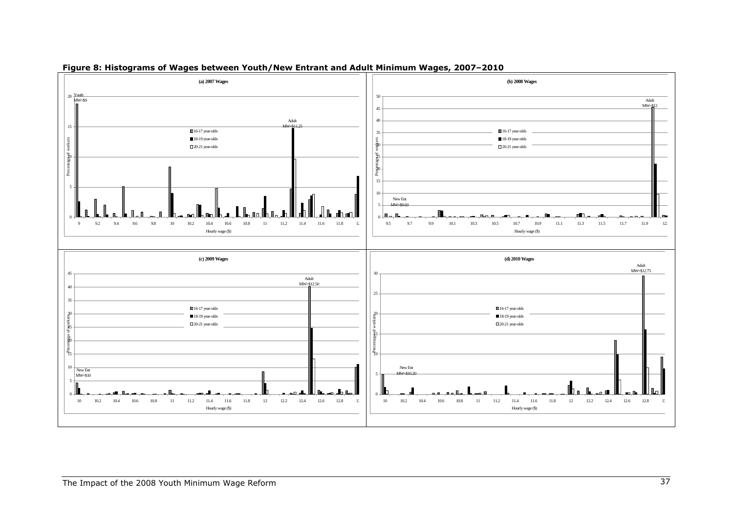

#### Figure 8: Histograms of Wages between Youth/New Entrant and Adult Minimum Wages, 2007–2010